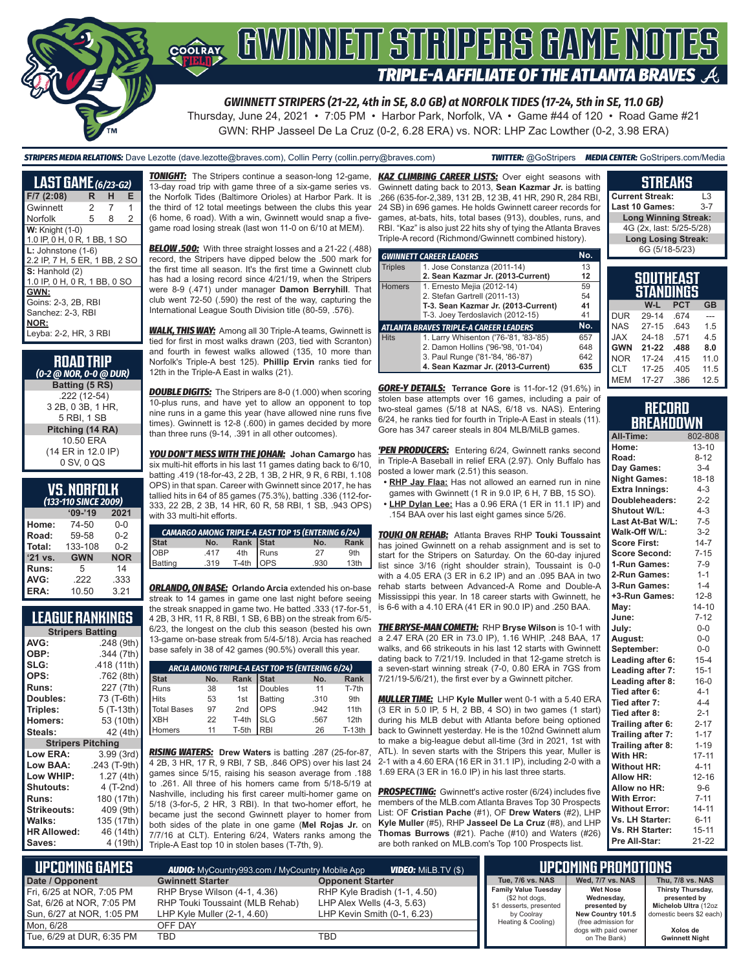

*GWINNETT STRIPERS (21-22, 4th in SE, 8.0 GB) at NORFOLK TIDES (17-24, 5th in SE, 11.0 GB)*

Thursday, June 24, 2021 • 7:05 PM • Harbor Park, Norfolk, VA • Game #44 of 120 • Road Game #21 GWN: RHP Jasseel De La Cruz (0-2, 6.28 ERA) vs. NOR: LHP Zac Lowther (0-2, 3.98 ERA)

*STRIPERS MEDIA RELATIONS:* Dave Lezotte (dave.lezotte@braves.com), Collin Perry (collin.perry@braves.com) *TWITTER:* @GoStripers *MEDIA CENTER:* GoStripers.com/Media

| <b>LAST GAME</b> (6/23-G2)                              |   |   |   |  |
|---------------------------------------------------------|---|---|---|--|
| F/7 (2:08)                                              | R | н | Е |  |
| Gwinnett                                                | 2 | 7 | 1 |  |
| Norfolk                                                 | 5 | 8 | 2 |  |
| $W:$ Knight $(1-0)$<br>1.0 IP, 0 H, 0 R, 1 BB, 1 SO     |   |   |   |  |
| $L:$ Johnstone $(1-6)$<br>2.2 IP, 7 H, 5 ER, 1 BB, 2 SO |   |   |   |  |
| $S:$ Hanhold $(2)$<br>1.0 IP, 0 H, 0 R, 1 BB, 0 SO      |   |   |   |  |
| GWN:                                                    |   |   |   |  |
| Goins: 2-3, 2B, RBI                                     |   |   |   |  |
| Sanchez: 2-3, RBI                                       |   |   |   |  |
| NOR:                                                    |   |   |   |  |
| Leyba: 2-2, HR, 3 RBI                                   |   |   |   |  |

| <b>ROAD TRIP</b><br>(0-2 @ NOR, 0-0 @ DUR) |
|--------------------------------------------|
| Batting (5 RS)                             |
| .222 (12-54)                               |
| 3 2B, 0 3B, 1 HR.                          |
| 5 RBI, 1 SB                                |
| Pitching (14 RA)                           |
| 10.50 FRA                                  |
| (14 ER in 12.0 IP)                         |
| 0 SV, 0 QS                                 |

#### **VS. NORFOLK**  *(133-110 SINCE 2009)*

| (133-110 JINCE ZUUS) |            |            |  |  |
|----------------------|------------|------------|--|--|
|                      | $09 - 19$  | 2021       |  |  |
| Home:                | 74-50      | $0 - 0$    |  |  |
| Road:                | 59-58      | $0 - 2$    |  |  |
| Total:               | 133-108    | $0 - 2$    |  |  |
| '21 vs.              | <b>GWN</b> | <b>NOR</b> |  |  |
| <b>Runs:</b>         | 5          | 14         |  |  |
| AVG:                 | .222       | .333       |  |  |
| ERA:                 | 10.50      | 3.21       |  |  |

## **LEAGUE RANKINGS**

| <b>Stripers Batting</b>            |              |  |  |  |
|------------------------------------|--------------|--|--|--|
| AVG:                               | .248 (9th)   |  |  |  |
| OBP:                               | .344 (7th)   |  |  |  |
| SLG:                               | .418 (11th)  |  |  |  |
| OPS:                               | .762 (8th)   |  |  |  |
| <b>Runs:</b>                       | 227 (7th)    |  |  |  |
| <b>Doubles:</b>                    | 73 (T-6th)   |  |  |  |
| Triples:                           | 5 (T-13th)   |  |  |  |
| <b>Homers:</b>                     | 53 (10th)    |  |  |  |
| Steals:                            | 42 (4th)     |  |  |  |
| <b>Pitching</b><br><b>Stripers</b> |              |  |  |  |
| <b>Low ERA:</b>                    | 3.99 (3rd)   |  |  |  |
| Low BAA:                           | .243 (T-9th) |  |  |  |
| Low WHIP:                          | 1.27(4th)    |  |  |  |
| <b>Shutouts:</b>                   | 4 (T-2nd)    |  |  |  |
| Runs:                              | 180 (17th)   |  |  |  |
| Strikeouts:                        | 409 (9th)    |  |  |  |
| Walks:                             | 135 (17th)   |  |  |  |
| <b>HR Allowed:</b>                 | 46 (14th)    |  |  |  |
| Saves:                             | 4 (19th)     |  |  |  |

**TONIGHT:** The Stripers continue a season-long 12-game, 13-day road trip with game three of a six-game series vs. the Norfolk Tides (Baltimore Orioles) at Harbor Park. It is the third of 12 total meetings between the clubs this year (6 home, 6 road). With a win, Gwinnett would snap a fivegame road losing streak (last won 11-0 on 6/10 at MEM).

*BELOW .500:* With three straight losses and a 21-22 (.488) record, the Stripers have dipped below the .500 mark for the first time all season. It's the first time a Gwinnett club has had a losing record since 4/21/19, when the Stripers were 8-9 (.471) under manager **Damon Berryhill**. That club went 72-50 (.590) the rest of the way, capturing the International League South Division title (80-59, .576).

*WALK, THIS WAY:* Among all 30 Triple-A teams, Gwinnett is tied for first in most walks drawn (203, tied with Scranton) and fourth in fewest walks allowed (135, 10 more than Norfolk's Triple-A best 125). **Phillip Ervin** ranks tied for 12th in the Triple-A East in walks (21).

**DOUBLE DIGITS:** The Stripers are 8-0 (1.000) when scoring 10-plus runs, and have yet to allow an opponent to top nine runs in a game this year (have allowed nine runs five times). Gwinnett is 12-8 (.600) in games decided by more than three runs (9-14, .391 in all other outcomes).

*YOU DON'T MESS WITH THE JOHAN:* **Johan Camargo** has six multi-hit efforts in his last 11 games dating back to 6/10, batting .419 (18-for-43, 2 2B, 1 3B, 2 HR, 9 R, 6 RBI, 1.108 OPS) in that span. Career with Gwinnett since 2017, he has tallied hits in 64 of 85 games (75.3%), batting .336 (112-for-333, 22 2B, 2 3B, 14 HR, 60 R, 58 RBI, 1 SB, .943 OPS) with 33 multi-hit efforts.

| <b>CAMARGO AMONG TRIPLE-A EAST TOP 15 (ENTERING 6/24)</b> |  |  |                                                |                  |  |
|-----------------------------------------------------------|--|--|------------------------------------------------|------------------|--|
|                                                           |  |  | No.                                            | Rank             |  |
|                                                           |  |  | 27                                             | 9th              |  |
|                                                           |  |  | .930                                           | 13 <sub>th</sub> |  |
|                                                           |  |  | No. Rank Stat<br>417 4th Runs<br>119 T-4th OPS |                  |  |

*ORLANDO, ON BASE:* **Orlando Arcia** extended his on-base streak to 14 games in game one last night before seeing the streak snapped in game two. He batted .333 (17-for-51, 4 2B, 3 HR, 11 R, 8 RBI, 1 SB, 6 BB) on the streak from 6/5- 6/23, the longest on the club this season (bested his own 13-game on-base streak from 5/4-5/18). Arcia has reached base safely in 38 of 42 games (90.5%) overall this year.

| ARCIA AMONG TRIPLE-A EAST TOP 15 (ENTERING 6/24)      |    |         |              |      |          |
|-------------------------------------------------------|----|---------|--------------|------|----------|
| Rank Stat<br><b>Stat</b><br>No.<br><b>Rank</b><br>No. |    |         |              |      |          |
| Runs                                                  | 38 | 1st     | Doubles      | 11   | T-7th    |
| <b>Hits</b>                                           | 53 | 1st     | Batting      | .310 | 9th      |
| Total Bases                                           | 97 | 2nd     | <b>I</b> OPS | .942 | 11th     |
| <b>XBH</b>                                            | 22 | $T-4th$ | <b>I</b> SLG | .567 | 12th     |
| Homers                                                | 11 | T-5th   | <b>RBI</b>   | 26   | $T-13th$ |

*RISING WATERS:* **Drew Waters** is batting .287 (25-for-87, 4 2B, 3 HR, 17 R, 9 RBI, 7 SB, .846 OPS) over his last 24 games since 5/15, raising his season average from .188 to .261. All three of his homers came from 5/18-5/19 at Nashville, including his first career multi-homer game on 5/18 (3-for-5, 2 HR, 3 RBI). In that two-homer effort, he became just the second Gwinnett player to homer from both sides of the plate in one game (**Mel Rojas Jr.** on 7/7/16 at CLT). Entering 6/24, Waters ranks among the Triple-A East top 10 in stolen bases (T-7th, 9).

**KAZ CLIMBING CAREER LISTS:** Over eight seasons with Gwinnett dating back to 2013, **Sean Kazmar Jr.** is batting .266 (635-for-2,389, 131 2B, 12 3B, 41 HR, 290 R, 284 RBI, 24 SB) in 696 games. He holds Gwinnett career records for games, at-bats, hits, total bases (913), doubles, runs, and RBI. "Kaz" is also just 22 hits shy of tying the Atlanta Braves Triple-A record (Richmond/Gwinnett combined history).

|                | <b>GWINNETT CAREER LEADERS</b>         | No. |
|----------------|----------------------------------------|-----|
| <b>Triples</b> | 1. Jose Constanza (2011-14)            |     |
|                | 2. Sean Kazmar Jr. (2013-Current)      | 12  |
| <b>Homers</b>  | 1. Ernesto Mejia (2012-14)             | 59  |
|                | 2. Stefan Gartrell (2011-13)           | 54  |
|                | T-3. Sean Kazmar Jr. (2013-Current)    | 41  |
|                | T-3. Joey Terdoslavich (2012-15)       | 41  |
|                | ATLANTA BRAVES TRIPLE-A CAREER LEADERS | No. |
| <b>Hits</b>    | 1. Larry Whisenton ('76-'81, '83-'85)  | 657 |
|                | 2. Damon Hollins ('96-'98, '01-'04)    | 648 |
|                | 3. Paul Runge ('81-'84, '86-'87)       | 642 |
|                | 4. Sean Kazmar Jr. (2013-Current)      | 635 |

*GORE-Y DETAILS:* **Terrance Gore** is 11-for-12 (91.6%) in stolen base attempts over 16 games, including a pair of two-steal games (5/18 at NAS, 6/18 vs. NAS). Entering 6/24, he ranks tied for fourth in Triple-A East in steals (11). Gore has 347 career steals in 804 MLB/MiLB games.

*'PEN PRODUCERS:* Entering 6/24, Gwinnett ranks second in Triple-A Baseball in relief ERA (2.97). Only Buffalo has posted a lower mark (2.51) this season.

- **• RHP Jay Flaa:** Has not allowed an earned run in nine games with Gwinnett (1 R in 9.0 IP, 6 H, 7 BB, 15 SO).
- **• LHP Dylan Lee:** Has a 0.96 ERA (1 ER in 11.1 IP) and .154 BAA over his last eight games since 5/26.

*TOUKI ON REHAB:* Atlanta Braves RHP **Touki Toussaint** has joined Gwinnett on a rehab assignment and is set to start for the Stripers on Saturday. On the 60-day injured list since 3/16 (right shoulder strain), Toussaint is 0-0 with a 4.05 ERA (3 ER in 6.2 IP) and an .095 BAA in two rehab starts between Advanced-A Rome and Double-A Mississippi this year. In 18 career starts with Gwinnett, he is 6-6 with a 4.10 ERA (41 ER in 90.0 IP) and .250 BAA.

*THE BRYSE-MAN COMETH:* RHP **Bryse Wilson** is 10-1 with a 2.47 ERA (20 ER in 73.0 IP), 1.16 WHIP, .248 BAA, 17 walks, and 66 strikeouts in his last 12 starts with Gwinnett dating back to 7/21/19. Included in that 12-game stretch is a seven-start winning streak (7-0, 0.80 ERA in 7GS from 7/21/19-5/6/21), the first ever by a Gwinnett pitcher.

*MULLER TIME:* LHP **Kyle Muller** went 0-1 with a 5.40 ERA (3 ER in 5.0 IP, 5 H, 2 BB, 4 SO) in two games (1 start) during his MLB debut with Atlanta before being optioned back to Gwinnett yesterday. He is the 102nd Gwinnett alum to make a big-league debut all-time (3rd in 2021, 1st with ATL). In seven starts with the Stripers this year, Muller is 2-1 with a 4.60 ERA (16 ER in 31.1 IP), including 2-0 with a 1.69 ERA (3 ER in 16.0 IP) in his last three starts.

**PROSPECTING:** Gwinnett's active roster (6/24) includes five members of the MLB.com Atlanta Braves Top 30 Prospects List: OF **Cristian Pache** (#1), OF **Drew Waters** (#2), LHP **Kyle Muller** (#5), RHP **Jasseel De La Cruz** (#8), and LHP **Thomas Burrows** (#21). Pache (#10) and Waters (#26) are both ranked on MLB.com's Top 100 Prospects list.

| Last 10 Games:<br>$3 - 7$            |
|--------------------------------------|
| <b>Long Winning Streak:</b>          |
| 4G (2x, last: 5/25-5/28)             |
| <b>Long Losing Streak:</b>           |
| 6G (5/18-5/23)                       |
|                                      |
| <b>SOUTHEAST</b><br><b>STANDINGS</b> |

**STREAKS Current Streak:** L3

| aianuinga  |           |            |           |  |
|------------|-----------|------------|-----------|--|
|            | W-L       | <b>PCT</b> | <b>GB</b> |  |
| <b>DUR</b> | 29-14     | .674       |           |  |
| <b>NAS</b> | $27 - 15$ | .643       | 1.5       |  |
| <b>JAX</b> | $24 - 18$ | .571       | 4.5       |  |
| <b>GWN</b> | $21 - 22$ | .488       | 8.0       |  |
| <b>NOR</b> | $17 - 24$ | .415       | 11.0      |  |
| <b>CLT</b> | $17 - 25$ | .405       | 11.5      |  |
| <b>MEM</b> | 17-27     | .386       | 12.5      |  |

#### **RECORD BREAKDOWN**

| All-Time:             | 802-808   |  |  |
|-----------------------|-----------|--|--|
| Home:                 | $13 - 10$ |  |  |
| Road:                 | $8 - 12$  |  |  |
| Day Games:            | $3 - 4$   |  |  |
| <b>Night Games:</b>   | $18 - 18$ |  |  |
| <b>Extra Innings:</b> | $4 - 3$   |  |  |
| Doubleheaders:        | $2 - 2$   |  |  |
| Shutout W/L:          | $4 - 3$   |  |  |
| Last At-Bat W/L:      | $7-5$     |  |  |
| Walk-Off W/L:         | $3-2$     |  |  |
| <b>Score First:</b>   | $14 - 7$  |  |  |
| <b>Score Second:</b>  | $7 - 15$  |  |  |
| 1-Run Games:          | $7-9$     |  |  |
| 2-Run Games:          | $1 - 1$   |  |  |
| 3-Run Games:          | $1 - 4$   |  |  |
| +3-Run Games:         | $12 - 8$  |  |  |
| May:                  | $14 - 10$ |  |  |
| June:                 | $7 - 12$  |  |  |
| July:                 | $0-0$     |  |  |
| August:               | $0-0$     |  |  |
| September:            | $0-0$     |  |  |
| Leading after 6:      | $15 - 4$  |  |  |
| Leading after 7:      | $15 - 1$  |  |  |
| Leading after 8:      | $16 - 0$  |  |  |
| Tied after 6:         | $4 - 1$   |  |  |
| Tied after 7:         | $4 - 4$   |  |  |
| Tied after 8:         | $2 - 1$   |  |  |
| Trailing after 6:     | $2 - 17$  |  |  |
| Trailing after 7:     | $1 - 17$  |  |  |
| Trailing after 8:     | $1 - 19$  |  |  |
| With HR:              | $17 - 11$ |  |  |
| <b>Without HR:</b>    | $4 - 11$  |  |  |
| Allow HR:             | $12 - 16$ |  |  |
| Allow no HR:          | $9-6$     |  |  |
| <b>With Error:</b>    | $7 - 11$  |  |  |
| <b>Without Error:</b> | $14 - 11$ |  |  |
| Vs. LH Starter:       | $6 - 11$  |  |  |
| Vs. RH Starter:       | $15 - 11$ |  |  |
| Pre All-Star:         | 21-22     |  |  |

| I UPCOMING GAMES I<br><b>AUDIO:</b> MyCountry993.com / MyCountry Mobile App<br><b>VIDEO:</b> Milb.TV (\$) |                                                                                                |                                                                                             |                                                                                        | IPCOMING PROMOTIONS "                                       |                                                                                       |
|-----------------------------------------------------------------------------------------------------------|------------------------------------------------------------------------------------------------|---------------------------------------------------------------------------------------------|----------------------------------------------------------------------------------------|-------------------------------------------------------------|---------------------------------------------------------------------------------------|
| Date / Opponent                                                                                           | <b>Gwinnett Starter</b>                                                                        | <b>Opponent Starter</b>                                                                     | Tue, 7/6 vs. NAS                                                                       | Wed, 7/7 vs. NAS                                            | Thu, 7/8 vs. NAS                                                                      |
| Fri, 6/25 at NOR, 7:05 PM<br>Sat, 6/26 at NOR, 7:05 PM<br>Sun. 6/27 at NOR. 1:05 PM                       | RHP Bryse Wilson (4-1, 4.36)<br>RHP Touki Toussaint (MLB Rehab)<br>LHP Kyle Muller (2-1, 4.60) | RHP Kyle Bradish (1-1, 4.50)<br>LHP Alex Wells $(4-3, 5.63)$<br>LHP Kevin Smith (0-1, 6.23) | <b>Family Value Tuesday</b><br>(\$2 hot dogs,<br>\$1 desserts, presented<br>by Coolray | Wet Nose<br>Wednesday,<br>presented by<br>New Country 101.5 | Thirsty Thursday,<br>presented by<br>Michelob Ultra (12oz<br>domestic beers \$2 each) |
| Mon. 6/28                                                                                                 | OFF DAY                                                                                        |                                                                                             | Heating & Cooling)                                                                     | (free admission for<br>dogs with paid owner                 | Xolos de                                                                              |
| Tue, 6/29 at DUR, 6:35 PM                                                                                 | TBD                                                                                            | TBD                                                                                         |                                                                                        | on The Bank)                                                | <b>Gwinnett Night</b>                                                                 |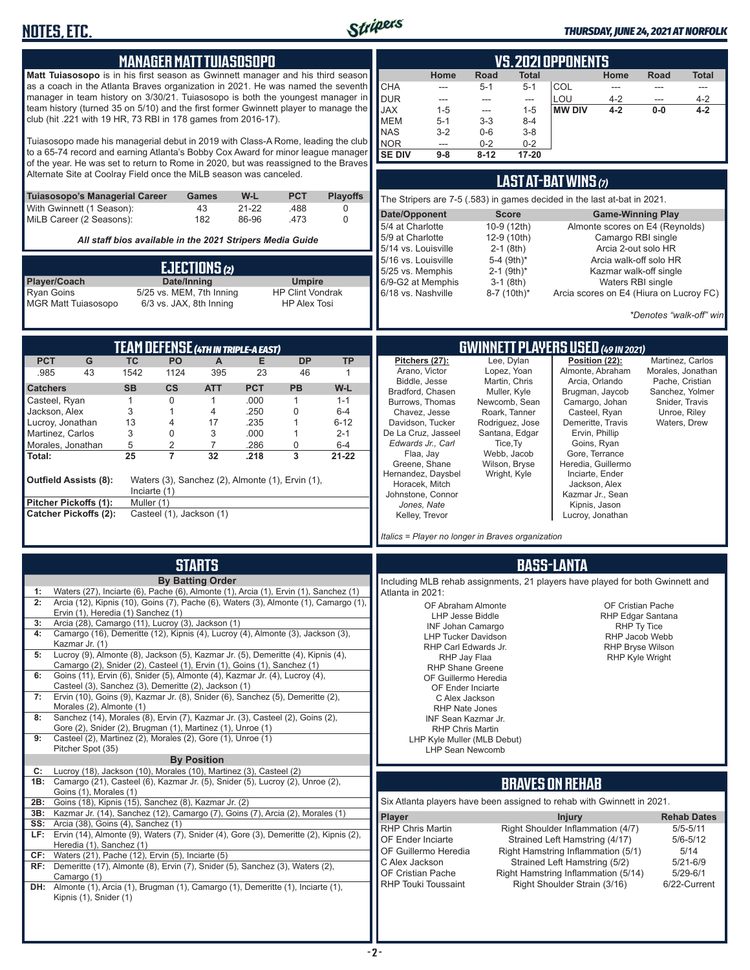

#### *THURSDAY, JUNE 24, 2021 AT NORFOLK*

| <b>MANAGER MATT TUIASOSOPO</b><br>Matt Tuiasosopo is in his first season as Gwinnett manager and his third season<br>as a coach in the Atlanta Braves organization in 2021. He was named the seventh<br>manager in team history on 3/30/21. Tuiasosopo is both the youngest manager in<br>team history (turned 35 on 5/10) and the first former Gwinnett player to manage the<br>club (hit .221 with 19 HR, 73 RBI in 178 games from 2016-17).<br>Tuiasosopo made his managerial debut in 2019 with Class-A Rome, leading the club<br>to a 65-74 record and earning Atlanta's Bobby Cox Award for minor league manager<br>of the year. He was set to return to Rome in 2020, but was reassigned to the Braves<br>Alternate Site at Coolray Field once the MiLB season was canceled.<br>W-L<br><b>PCT</b><br><b>Playoffs</b><br>Tuiasosopo's Managerial Career<br>Games<br>43<br>With Gwinnett (1 Season):<br>$21 - 22$<br>.488<br>0<br>MiLB Career (2 Seasons):<br>182<br>86-96<br>$\mathbf 0$<br>.473<br>All staff bios available in the 2021 Stripers Media Guide<br><b>EJECTIONS</b> (2)                                                        | <b>VS. 2021 OPPONENTS</b><br><b>Road</b><br>Home<br><b>Total</b><br>Home<br>Road<br>Total<br><b>CHA</b><br><b>COL</b><br>$5 - 1$<br>$5 - 1$<br>$\overline{\phantom{a}}$<br>---<br>$\frac{1}{2}$<br>---<br><b>DUR</b><br>LOU<br>$4 - 2$<br>$4 - 2$<br>---<br>---<br>---<br>---<br><b>JAX</b><br><b>MW DIV</b><br>$1 - 5$<br>$1 - 5$<br>$4 - 2$<br>$0-0$<br>$4 - 2$<br>---<br><b>MEM</b><br>$5 - 1$<br>$3 - 3$<br>$8 - 4$<br><b>NAS</b><br>$3 - 2$<br>$0-6$<br>$3 - 8$<br><b>NOR</b><br>$0 - 2$<br>$0 - 2$<br>$\overline{a}$<br><b>SE DIV</b><br>$9-8$<br>$8 - 12$<br>17-20<br><b>LAST AT-BAT WINS <math>(7)</math></b><br>The Stripers are 7-5 (.583) in games decided in the last at-bat in 2021.<br>Date/Opponent<br><b>Score</b><br><b>Game-Winning Play</b><br>5/4 at Charlotte<br>10-9 (12th)<br>Almonte scores on E4 (Reynolds)<br>5/9 at Charlotte<br>12-9 (10th)<br>Camargo RBI single<br>5/14 vs. Louisville<br>$2-1$ (8th)<br>Arcia 2-out solo HR<br>5/16 vs. Louisville<br>5-4 (9th)*<br>Arcia walk-off solo HR<br>5/25 vs. Memphis<br>$2-1$ (9th) <sup>*</sup><br>Kazmar walk-off single |
|----------------------------------------------------------------------------------------------------------------------------------------------------------------------------------------------------------------------------------------------------------------------------------------------------------------------------------------------------------------------------------------------------------------------------------------------------------------------------------------------------------------------------------------------------------------------------------------------------------------------------------------------------------------------------------------------------------------------------------------------------------------------------------------------------------------------------------------------------------------------------------------------------------------------------------------------------------------------------------------------------------------------------------------------------------------------------------------------------------------------------------------------------|-----------------------------------------------------------------------------------------------------------------------------------------------------------------------------------------------------------------------------------------------------------------------------------------------------------------------------------------------------------------------------------------------------------------------------------------------------------------------------------------------------------------------------------------------------------------------------------------------------------------------------------------------------------------------------------------------------------------------------------------------------------------------------------------------------------------------------------------------------------------------------------------------------------------------------------------------------------------------------------------------------------------------------------------------------------------------------------------------------|
| Player/Coach<br>Date/Inning<br><b>Umpire</b><br><b>Ryan Goins</b><br>5/25 vs. MEM, 7th Inning<br><b>HP Clint Vondrak</b><br>6/3 vs. JAX, 8th Inning<br><b>MGR Matt Tuiasosopo</b><br><b>HP Alex Tosi</b>                                                                                                                                                                                                                                                                                                                                                                                                                                                                                                                                                                                                                                                                                                                                                                                                                                                                                                                                           | 6/9-G2 at Memphis<br>$3-1$ (8th)<br>Waters RBI single<br>6/18 vs. Nashville<br>8-7 (10th)*<br>Arcia scores on E4 (Hiura on Lucroy FC)<br>*Denotes "walk-off" win                                                                                                                                                                                                                                                                                                                                                                                                                                                                                                                                                                                                                                                                                                                                                                                                                                                                                                                                    |
|                                                                                                                                                                                                                                                                                                                                                                                                                                                                                                                                                                                                                                                                                                                                                                                                                                                                                                                                                                                                                                                                                                                                                    |                                                                                                                                                                                                                                                                                                                                                                                                                                                                                                                                                                                                                                                                                                                                                                                                                                                                                                                                                                                                                                                                                                     |
| <b>TEAM DEFENSE (4TH IN TRIPLE-A EAST)</b><br><b>PCT</b><br>PO<br><b>DP</b><br>G<br><b>TC</b><br>$\mathsf{A}$<br>E<br><b>TP</b><br>43<br>.985<br>1542<br>1124<br>395<br>23<br>46<br>$\mathbf{1}$<br><b>PCT</b><br><b>PB</b><br>W-L<br><b>Catchers</b><br><b>SB</b><br>$\mathsf{cs}$<br><b>ATT</b><br>$\mathbf{1}$<br>$\mathbf 0$<br>$\mathbf{1}$<br>.000<br>$\mathbf{1}$<br>Casteel, Ryan<br>$1 - 1$<br>Jackson, Alex<br>3<br>.250<br>$\mathbf{0}$<br>4<br>$6-4$<br>1<br>Lucroy, Jonathan<br>13<br>.235<br>$6 - 12$<br>4<br>17<br>1<br>Martinez, Carlos<br>3<br>$\mathbf 0$<br>3<br>.000<br>1<br>$2 - 1$<br>5<br>$\overline{2}$<br>$\overline{7}$<br>Morales, Jonathan<br>.286<br>0<br>$6 - 4$<br>25<br>$\overline{7}$<br>32<br>3<br>$21 - 22$<br>Total:<br>.218<br><b>Outfield Assists (8):</b><br>Waters (3), Sanchez (2), Almonte (1), Ervin (1),<br>Inciarte $(1)$<br>Pitcher Pickoffs (1):<br>Muller (1)<br><b>Catcher Pickoffs (2):</b><br>Casteel (1), Jackson (1)                                                                                                                                                                          | GWINNETT PLAYERS USED (49 IN 2021)<br>Pitchers (27):<br>Lee, Dylan<br>Position (22):<br>Martinez, Carlos<br>Arano, Victor<br>Lopez, Yoan<br>Almonte, Abraham<br>Morales, Jonathan<br>Biddle, Jesse<br>Martin, Chris<br>Arcia, Orlando<br>Pache, Cristian<br>Bradford, Chasen<br>Muller, Kyle<br>Brugman, Jaycob<br>Sanchez, Yolmer<br>Camargo, Johan<br>Burrows, Thomas<br>Newcomb, Sean<br>Snider, Travis<br>Chavez, Jesse<br>Roark, Tanner<br>Casteel, Ryan<br>Unroe, Riley<br>Davidson, Tucker<br>Rodriguez, Jose<br>Demeritte, Travis<br>Waters, Drew<br>De La Cruz, Jasseel<br>Santana, Edgar<br>Ervin, Phillip<br>Edwards Jr., Carl<br>Tice, Ty<br>Goins, Ryan<br>Gore, Terrance<br>Webb, Jacob<br>Flaa, Jay<br>Heredia, Guillermo<br>Greene, Shane<br>Wilson, Bryse<br>Hernandez, Daysbel<br>Inciarte, Ender<br>Wright, Kyle<br>Horacek, Mitch<br>Jackson, Alex<br>Johnstone, Connor<br>Kazmar Jr., Sean<br>Jones, Nate<br>Kipnis, Jason<br>Kelley, Trevor<br>Lucroy, Jonathan                                                                                                               |
|                                                                                                                                                                                                                                                                                                                                                                                                                                                                                                                                                                                                                                                                                                                                                                                                                                                                                                                                                                                                                                                                                                                                                    | Italics = Player no longer in Braves organization                                                                                                                                                                                                                                                                                                                                                                                                                                                                                                                                                                                                                                                                                                                                                                                                                                                                                                                                                                                                                                                   |
| <b>STARTS</b><br><b>By Batting Order</b><br>Waters (27), Inciarte (6), Pache (6), Almonte (1), Arcia (1), Ervin (1), Sanchez (1)<br>2: Arcia (12), Kipnis (10), Goins (7), Pache (6), Waters (3), Almonte (1), Camargo (1),<br>Ervin (1), Heredia (1) Sanchez (1)<br>Arcia (28), Camargo (11), Lucroy (3), Jackson (1)<br>3:<br>Camargo (16), Demeritte (12), Kipnis (4), Lucroy (4), Almonte (3), Jackson (3),<br>4:<br>Kazmar Jr. (1)<br>Lucroy (9), Almonte (8), Jackson (5), Kazmar Jr. (5), Demeritte (4), Kipnis (4),<br>5:<br>Camargo (2), Snider (2), Casteel (1), Ervin (1), Goins (1), Sanchez (1)<br>Goins (11), Ervin (6), Snider (5), Almonte (4), Kazmar Jr. (4), Lucroy (4),<br>6:<br>Casteel (3), Sanchez (3), Demeritte (2), Jackson (1)<br>Ervin (10), Goins (9), Kazmar Jr. (8), Snider (6), Sanchez (5), Demeritte (2),<br>7:<br>Morales (2), Almonte (1)<br>Sanchez (14), Morales (8), Ervin (7), Kazmar Jr. (3), Casteel (2), Goins (2),<br>8:<br>Gore (2), Snider (2), Brugman (1), Martinez (1), Unroe (1)<br>Casteel (2), Martinez (2), Morales (2), Gore (1), Unroe (1)<br>9:<br>Pitcher Spot (35)<br><b>By Position</b> | <b>BASS-LANTA</b><br>Including MLB rehab assignments, 21 players have played for both Gwinnett and<br>Atlanta in 2021:<br>OF Abraham Almonte<br>OF Cristian Pache<br>LHP Jesse Biddle<br>RHP Edgar Santana<br>INF Johan Camargo<br>RHP Ty Tice<br><b>LHP Tucker Davidson</b><br>RHP Jacob Webb<br>RHP Carl Edwards Jr.<br><b>RHP Bryse Wilson</b><br>RHP Jay Flaa<br><b>RHP Kyle Wright</b><br><b>RHP Shane Greene</b><br>OF Guillermo Heredia<br>OF Ender Inciarte<br>C Alex Jackson<br>RHP Nate Jones<br>INF Sean Kazmar Jr.<br><b>RHP Chris Martin</b><br>LHP Kyle Muller (MLB Debut)<br><b>LHP Sean Newcomb</b>                                                                                                                                                                                                                                                                                                                                                                                                                                                                                 |
| Lucroy (18), Jackson (10), Morales (10), Martinez (3), Casteel (2)<br>C:<br>1B: Camargo (21), Casteel (6), Kazmar Jr. (5), Snider (5), Lucroy (2), Unroe (2),<br>Goins (1), Morales (1)<br>Goins (18), Kipnis (15), Sanchez (8), Kazmar Jr. (2)<br>2B:<br>3B: Kazmar Jr. (14), Sanchez (12), Camargo (7), Goins (7), Arcia (2), Morales (1)<br><b>SS:</b> Arcia (38), Goins (4), Sanchez (1)<br>LF: Ervin (14), Almonte (9), Waters (7), Snider (4), Gore (3), Demeritte (2), Kipnis (2),<br>Heredia (1), Sanchez (1)<br>CF: Waters (21), Pache (12), Ervin (5), Inciarte (5)<br>RF: Demeritte (17), Almonte (8), Ervin (7), Snider (5), Sanchez (3), Waters (2),<br>Camargo (1)<br><b>DH:</b> Almonte (1), Arcia (1), Brugman (1), Camargo (1), Demeritte (1), Inciarte (1),<br>Kipnis (1), Snider (1)                                                                                                                                                                                                                                                                                                                                            | <b>BRAVES ON REHAB</b><br>Six Atlanta players have been assigned to rehab with Gwinnett in 2021.<br>Player<br><b>Injury</b><br><b>Rehab Dates</b><br><b>RHP Chris Martin</b><br>Right Shoulder Inflammation (4/7)<br>$5/5 - 5/11$<br>OF Ender Inciarte<br>Strained Left Hamstring (4/17)<br>$5/6 - 5/12$<br>OF Guillermo Heredia<br>Right Hamstring Inflammation (5/1)<br>5/14<br>C Alex Jackson<br>Strained Left Hamstring (5/2)<br>$5/21 - 6/9$<br>OF Cristian Pache<br>Right Hamstring Inflammation (5/14)<br>$5/29 - 6/1$<br>RHP Touki Toussaint<br>Right Shoulder Strain (3/16)<br>6/22-Current                                                                                                                                                                                                                                                                                                                                                                                                                                                                                                |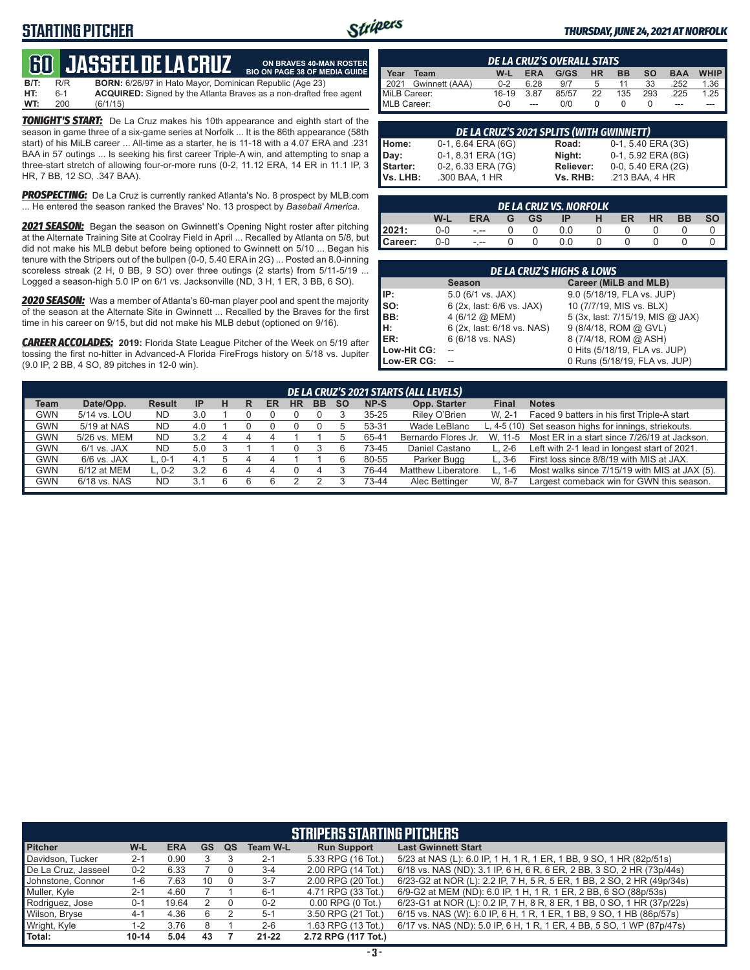# **STARTING PITCHER**



**ON BRAVES 40-MAN ROSTER**

#### *THURSDAY, JUNE 24, 2021 AT NORFOLK*

# **60 JASSEEL DE L**

**B/T:** R/R **BORN:** 6/26/97 in Hato Mayor, Dominican Republic (Age 23)<br>**HT:** 6-1 **ACQUIRED:** Signed by the Atlanta Braves as a non-drafted f **HT:** 6-1 **ACQUIRED:** Signed by the Atlanta Braves as a non-drafted free agent **WT:** 200 (6/1/15) **BIO ON PAGE 38 OF MEDIA GUIDE**

*TONIGHT'S START:* De La Cruz makes his 10th appearance and eighth start of the season in game three of a six-game series at Norfolk ... It is the 86th appearance (58th start) of his MiLB career ... All-time as a starter, he is 11-18 with a 4.07 ERA and .231 BAA in 57 outings ... Is seeking his first career Triple-A win, and attempting to snap a three-start stretch of allowing four-or-more runs (0-2, 11.12 ERA, 14 ER in 11.1 IP, 3 HR, 7 BB, 12 SO, .347 BAA).

*PROSPECTING:* De La Cruz is currently ranked Atlanta's No. 8 prospect by MLB.com ... He entered the season ranked the Braves' No. 13 prospect by *Baseball America*.

*2021 SEASON:* Began the season on Gwinnett's Opening Night roster after pitching at the Alternate Training Site at Coolray Field in April ... Recalled by Atlanta on 5/8, but did not make his MLB debut before being optioned to Gwinnett on 5/10 ... Began his tenure with the Stripers out of the bullpen (0-0, 5.40 ERA in 2G) ... Posted an 8.0-inning scoreless streak (2 H, 0 BB, 9 SO) over three outings (2 starts) from 5/11-5/19 ... Logged a season-high 5.0 IP on 6/1 vs. Jacksonville (ND, 3 H, 1 ER, 3 BB, 6 SO).

*2020 SEASON:* Was a member of Atlanta's 60-man player pool and spent the majority of the season at the Alternate Site in Gwinnett ... Recalled by the Braves for the first time in his career on 9/15, but did not make his MLB debut (optioned on 9/16).

*CAREER ACCOLADES:* **2019:** Florida State League Pitcher of the Week on 5/19 after tossing the first no-hitter in Advanced-A Florida FireFrogs history on 5/18 vs. Jupiter (9.0 IP, 2 BB, 4 SO, 89 pitches in 12-0 win).

|              | <b>DE LA CRUZ'S OVERALL STATS</b> |            |            |       |           |           |           |            |                       |  |  |  |  |
|--------------|-----------------------------------|------------|------------|-------|-----------|-----------|-----------|------------|-----------------------|--|--|--|--|
| Year         | Team                              | W-L        | <b>ERA</b> | G/GS  | <b>HR</b> | <b>BB</b> | <b>SO</b> | <b>BAA</b> | <b>WHIP</b>           |  |  |  |  |
| 12021        | Gwinnett (AAA)                    | $0 - 2$    | 6.28       | 9/7   | -5        | 11        | 33        | .252       | $1.36$ $\blacksquare$ |  |  |  |  |
| MiLB Career: |                                   | 16-19      | 3.87       | 85/57 | 22        | 135       | 293       | .225       | $1.25$                |  |  |  |  |
| MLB Career:  |                                   | <u>ດ-ດ</u> | ---        | 0/0   |           |           |           | ---        |                       |  |  |  |  |

|          | DE LA CRUZ'S 2021 SPLITS (WITH GWINNETT) |           |                    |
|----------|------------------------------------------|-----------|--------------------|
| Home:    | 0-1, 6.64 ERA (6G)                       | Road:     | 0-1, 5.40 ERA (3G) |
| Day:     | 0-1, 8.31 ERA (1G)                       | Night:    | 0-1, 5.92 ERA (8G) |
| Starter: | 0-2, 6.33 ERA (7G)                       | Reliever: | 0-0, 5.40 ERA (2G) |
| Vs. LHB: | .300 BAA, 1 HR                           | Vs. RHB:  | .213 BAA, 4 HR     |

|         | DE LA CRUZ VS. NORFOLK |            |   |           |     |   |    |           |           |    |  |  |  |
|---------|------------------------|------------|---|-----------|-----|---|----|-----------|-----------|----|--|--|--|
|         | W-L                    | <b>ERA</b> | G | <b>GS</b> | ΙP  | н | ER | <b>HR</b> | <b>BB</b> | SΟ |  |  |  |
| 2021:   | 0-0                    | $- - -$    |   |           | 0.0 |   |    |           |           |    |  |  |  |
| Career: | 0-0                    | $ -$       |   |           | ი ი |   |    |           |           |    |  |  |  |

|             | <b>DE LA CRUZ'S HIGHS &amp; LOWS</b> |                                  |  |  |  |  |  |  |  |  |  |
|-------------|--------------------------------------|----------------------------------|--|--|--|--|--|--|--|--|--|
|             | <b>Season</b>                        | Career (MiLB and MLB)            |  |  |  |  |  |  |  |  |  |
| IP:         | $5.0$ (6/1 vs. JAX)                  | 9.0 (5/18/19, FLA vs. JUP)       |  |  |  |  |  |  |  |  |  |
| SO:         | 6 (2x, last: 6/6 vs. JAX)            | 10 (7/7/19, MIS vs. BLX)         |  |  |  |  |  |  |  |  |  |
| BB:         | 4 (6/12 @ MEM)                       | 5 (3x, last: 7/15/19, MIS @ JAX) |  |  |  |  |  |  |  |  |  |
| н:          | 6 (2x, last: 6/18 vs. NAS)           | 9 (8/4/18, ROM @ GVL)            |  |  |  |  |  |  |  |  |  |
| ER:         | 6 (6/18 vs. NAS)                     | 8 (7/4/18, ROM @ ASH)            |  |  |  |  |  |  |  |  |  |
| Low-Hit CG: |                                      | 0 Hits (5/18/19, FLA vs. JUP)    |  |  |  |  |  |  |  |  |  |
| Low-ER CG:  |                                      | 0 Runs (5/18/19, FLA vs. JUP)    |  |  |  |  |  |  |  |  |  |

|             | DE LA CRUZ'S 2021 STARTS (ALL LEVELS)                                                                                                                  |           |     |   |  |  |  |  |  |           |                           |          |                                                       |
|-------------|--------------------------------------------------------------------------------------------------------------------------------------------------------|-----------|-----|---|--|--|--|--|--|-----------|---------------------------|----------|-------------------------------------------------------|
| <b>Team</b> | Date/Opp.<br>Opp. Starter<br><b>BB</b><br>NP-S<br><b>Final</b><br><b>Notes</b><br><b>Result</b><br><b>HR</b><br><b>SO</b><br><b>IP</b><br>ER<br>н<br>R |           |     |   |  |  |  |  |  |           |                           |          |                                                       |
| <b>GWN</b>  | 5/14 vs. LOU                                                                                                                                           | <b>ND</b> | 3.0 |   |  |  |  |  |  | $35 - 25$ | Riley O'Brien             | W. 2-1   | Faced 9 batters in his first Triple-A start           |
| <b>GWN</b>  | 5/19 at NAS                                                                                                                                            | <b>ND</b> | 4.0 |   |  |  |  |  |  | 53-31     | Wade LeBlanc              |          | L, 4-5 (10) Set season highs for innings, striekouts. |
| <b>GWN</b>  | 5/26 vs. MEM                                                                                                                                           | <b>ND</b> | 3.2 | 4 |  |  |  |  |  | 65-41     | Bernardo Flores Jr.       | W. 11-5  | Most ER in a start since 7/26/19 at Jackson.          |
| <b>GWN</b>  | 6/1 vs. JAX                                                                                                                                            | <b>ND</b> | 5.0 |   |  |  |  |  |  | 73-45     | Daniel Castano            | $L. 2-6$ | Left with 2-1 lead in longest start of 2021.          |
| <b>GWN</b>  | $6/6$ vs. JAX                                                                                                                                          | L. 0-1    | 4.1 |   |  |  |  |  |  | 80-55     | Parker Bugg               | $L.3-6$  | First loss since 8/8/19 with MIS at JAX.              |
| <b>GWN</b>  | 6/12 at MEM                                                                                                                                            | $L. 0-2$  | 3.2 |   |  |  |  |  |  | 76-44     | <b>Matthew Liberatore</b> | L. 1-6   | Most walks since 7/15/19 with MIS at JAX (5).         |
| <b>GWN</b>  | 6/18 vs. NAS                                                                                                                                           | <b>ND</b> | 3.1 |   |  |  |  |  |  | 73-44     | Alec Bettinger            | W. 8-7   | Largest comeback win for GWN this season.             |
|             |                                                                                                                                                        |           |     |   |  |  |  |  |  |           |                           |          |                                                       |

|                     | <b>STRIPERS STARTING PITCHERS</b>                                                                    |       |    |  |           |                       |                                                                        |  |  |  |  |  |  |  |
|---------------------|------------------------------------------------------------------------------------------------------|-------|----|--|-----------|-----------------------|------------------------------------------------------------------------|--|--|--|--|--|--|--|
| <b>Pitcher</b>      | W-L<br><b>Last Gwinnett Start</b><br><b>ERA</b><br>GS<br><b>Run Support</b><br><b>Team W-L</b><br>QS |       |    |  |           |                       |                                                                        |  |  |  |  |  |  |  |
| Davidson, Tucker    | $2 - 1$                                                                                              | 0.90  |    |  | $2 - 1$   | 5.33 RPG (16 Tot.)    | 5/23 at NAS (L): 6.0 IP, 1 H, 1 R, 1 ER, 1 BB, 9 SO, 1 HR (82p/51s)    |  |  |  |  |  |  |  |
| De La Cruz, Jasseel | $0 - 2$                                                                                              | 6.33  |    |  | $3 - 4$   | 2.00 RPG (14 Tot.)    | 6/18 vs. NAS (ND): 3.1 IP, 6 H, 6 R, 6 ER, 2 BB, 3 SO, 2 HR (73p/44s)  |  |  |  |  |  |  |  |
| Johnstone, Connor   | 1-6                                                                                                  | 7.63  | 10 |  | $3 - 7$   | 2.00 RPG (20 Tot.)    | 6/23-G2 at NOR (L): 2.2 IP, 7 H, 5 R, 5 ER, 1 BB, 2 SO, 2 HR (49p/34s) |  |  |  |  |  |  |  |
| Muller, Kyle        | $2 - 1$                                                                                              | 4.60  |    |  | $6 - 1$   | 4.71 RPG (33 Tot.)    | 6/9-G2 at MEM (ND): 6.0 IP, 1 H, 1 R, 1 ER, 2 BB, 6 SO (88p/53s)       |  |  |  |  |  |  |  |
| Rodriguez, Jose     | $0 - 1$                                                                                              | 19.64 |    |  | $0 - 2$   | $0.00$ RPG $(0$ Tot.) | 6/23-G1 at NOR (L): 0.2 IP, 7 H, 8 R, 8 ER, 1 BB, 0 SO, 1 HR (37p/22s) |  |  |  |  |  |  |  |
| Wilson, Bryse       | $4 - 1$                                                                                              | 4.36  | 6  |  | $5-1$     | 3.50 RPG (21 Tot.)    | 6/15 vs. NAS (W): 6.0 IP, 6 H, 1 R, 1 ER, 1 BB, 9 SO, 1 HB (86p/57s)   |  |  |  |  |  |  |  |
| Wright, Kyle        | $1 - 2$                                                                                              | 3.76  |    |  | $2 - 6$   | 1.63 RPG (13 Tot.)    | 6/17 vs. NAS (ND): 5.0 IP, 6 H, 1 R, 1 ER, 4 BB, 5 SO, 1 WP (87p/47s)  |  |  |  |  |  |  |  |
| Total:              | $10 - 14$                                                                                            | 5.04  | 43 |  | $21 - 22$ | 2.72 RPG (117 Tot.)   |                                                                        |  |  |  |  |  |  |  |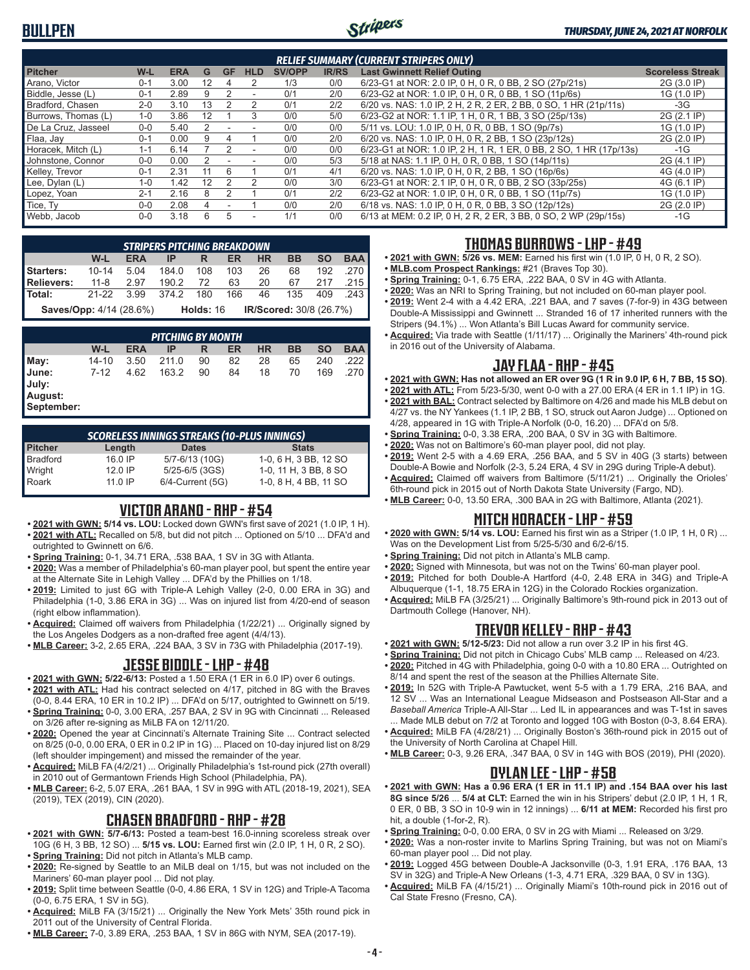

|                     | <b>RELIEF SUMMARY (CURRENT STRIPERS ONLY)</b> |            |    |           |                          |               |              |                                                                    |                         |  |  |  |
|---------------------|-----------------------------------------------|------------|----|-----------|--------------------------|---------------|--------------|--------------------------------------------------------------------|-------------------------|--|--|--|
| <b>Pitcher</b>      | W-L                                           | <b>ERA</b> | G  | <b>GF</b> | <b>HLD</b>               | <b>SV/OPP</b> | <b>IR/RS</b> | <b>Last Gwinnett Relief Outing</b>                                 | <b>Scoreless Streak</b> |  |  |  |
| Arano, Victor       | $0 - 1$                                       | 3.00       | 12 | 4         | 2                        | 1/3           | 0/0          | 6/23-G1 at NOR: 2.0 IP, 0 H, 0 R, 0 BB, 2 SO (27p/21s)             | 2G (3.0 IP)             |  |  |  |
| Biddle, Jesse (L)   | $0 - 1$                                       | 2.89       | 9  |           |                          | 0/1           | 2/0          | 6/23-G2 at NOR: 1.0 IP, 0 H, 0 R, 0 BB, 1 SO (11p/6s)              | 1G (1.0 IP)             |  |  |  |
| Bradford, Chasen    | $2 - 0$                                       | 3.10       | 13 |           | $\mathcal{P}$            | 0/1           | 2/2          | 6/20 vs. NAS: 1.0 IP, 2 H, 2 R, 2 ER, 2 BB, 0 SO, 1 HR (21p/11s)   | $-3G$                   |  |  |  |
| Burrows, Thomas (L) | $1 - 0$                                       | 3.86       | 12 |           | 3                        | 0/0           | 5/0          | 6/23-G2 at NOR: 1.1 IP, 1 H, 0 R, 1 BB, 3 SO (25p/13s)             | 2G (2.1 IP)             |  |  |  |
| De La Cruz. Jasseel | $0 - 0$                                       | 5.40       |    |           |                          | 0/0           | 0/0          | 5/11 vs. LOU: 1.0 IP, 0 H, 0 R, 0 BB, 1 SO (9p/7s)                 | 1G (1.0 IP)             |  |  |  |
| Flaa, Jay           | $0 - 1$                                       | 0.00       | 9  | 4         |                          | 0/0           | 2/0          | 6/20 vs. NAS: 1.0 IP, 0 H, 0 R, 2 BB, 1 SO (23p/12s)               | 2G (2.0 IP)             |  |  |  |
| Horacek, Mitch (L)  | $1 - 1$                                       | 6.14       |    |           | $\overline{\phantom{a}}$ | 0/0           | 0/0          | 6/23-G1 at NOR: 1.0 IP, 2 H, 1 R, 1 ER, 0 BB, 2 SO, 1 HR (17p/13s) | $-1G$                   |  |  |  |
| Johnstone, Connor   | $0 - 0$                                       | 0.00       |    |           |                          | 0/0           | 5/3          | 5/18 at NAS: 1.1 IP, 0 H, 0 R, 0 BB, 1 SO (14p/11s)                | 2G (4.1 IP)             |  |  |  |
| Kelley, Trevor      | $0 - 1$                                       | 2.31       | 11 | 6         |                          | 0/1           | 4/1          | 6/20 vs. NAS: 1.0 IP, 0 H, 0 R, 2 BB, 1 SO (16p/6s)                | 4G (4.0 IP)             |  |  |  |
| Lee, Dylan (L)      | $1 - 0$                                       | 1.42       | 12 |           | 2                        | 0/0           | 3/0          | 6/23-G1 at NOR: 2.1 IP, 0 H, 0 R, 0 BB, 2 SO (33p/25s)             | 4G (6.1 IP)             |  |  |  |
| Lopez, Yoan         | $2 - 1$                                       | 2.16       | 8  |           |                          | 0/1           | 2/2          | 6/23-G2 at NOR: 1.0 IP, 0 H, 0 R, 0 BB, 1 SO (11p/7s)              | 1G (1.0 IP)             |  |  |  |
| Tice. Tv            | $0 - 0$                                       | 2.08       |    |           |                          | 0/0           | 2/0          | 6/18 vs. NAS: 1.0 IP, 0 H, 0 R, 0 BB, 3 SO (12p/12s)               | 2G (2.0 IP)             |  |  |  |
| Webb, Jacob         | $0 - 0$                                       | 3.18       | 6  | 5         | ٠                        | 1/1           | 0/0          | 6/13 at MEM: 0.2 IP, 0 H, 2 R, 2 ER, 3 BB, 0 SO, 2 WP (29p/15s)    | $-1G$                   |  |  |  |

|                                | <b>STRIPERS PITCHING BREAKDOWN</b> |            |       |             |     |           |                         |           |            |  |  |
|--------------------------------|------------------------------------|------------|-------|-------------|-----|-----------|-------------------------|-----------|------------|--|--|
|                                | W-L                                | <b>ERA</b> | IP    | R           | ER  | <b>HR</b> | <b>BB</b>               | <b>SO</b> | <b>BAA</b> |  |  |
| Starters:                      | $10 - 14$                          | 5.04       | 184.0 | 108         | 103 | 26        | 68                      | 192       | $.270$ F   |  |  |
| <b>Relievers:</b>              | $11 - 8$                           | 2.97       | 190.2 | 72          | 63  | 20        | 67                      | 217       | .215 l     |  |  |
| Total:                         | $21 - 22$                          | 3.99       | 3742  | 180         | 166 | 46        | 135                     | 409       | $.243$ J   |  |  |
| <b>Saves/Opp:</b> 4/14 (28.6%) |                                    |            |       | Holds: $16$ |     |           | IR/Scored: 30/8 (26.7%) |           |            |  |  |

|                                         | <b>PITCHING BY MONTH</b> |            |       |    |    |           |    |           |            |  |  |  |
|-----------------------------------------|--------------------------|------------|-------|----|----|-----------|----|-----------|------------|--|--|--|
|                                         | W-L                      | <b>ERA</b> | IP    | R  | ER | <b>HR</b> | BB | <b>SO</b> | <b>BAA</b> |  |  |  |
| May:                                    | 14-10                    | 3.50       | 211.0 | 90 | 82 | 28        | 65 | 240       | .222       |  |  |  |
| June:<br>July:<br>August:<br>September: | $7 - 12$                 | 4.62       | 163.2 | 90 | 84 | 18        | 70 | 169       | .270       |  |  |  |

| <b>SCORELESS INNINGS STREAKS (10-PLUS INNINGS)</b> |           |                       |                       |  |  |  |  |  |  |  |
|----------------------------------------------------|-----------|-----------------------|-----------------------|--|--|--|--|--|--|--|
| Pitcher                                            | Length    | <b>Dates</b>          | <b>Stats</b>          |  |  |  |  |  |  |  |
| Bradford                                           | $16.0$ IP | 5/7-6/13 (10G)        | 1-0, 6 H, 3 BB, 12 SO |  |  |  |  |  |  |  |
|                                                    | $12.0$ IP | 5/25-6/5 (3GS)        | 1-0, 11 H, 3 BB, 8 SO |  |  |  |  |  |  |  |
| Wright<br>Roark                                    | $11.0$ IP | $6/4$ -Current $(5G)$ | 1-0, 8 H, 4 BB, 11 SO |  |  |  |  |  |  |  |

## **VICTOR ARANO - RHP - #54**

- **• 2021 with GWN: 5/14 vs. LOU:** Locked down GWN's first save of 2021 (1.0 IP, 1 H). **• 2021 with ATL:** Recalled on 5/8, but did not pitch ... Optioned on 5/10 ... DFA'd and outrighted to Gwinnett on 6/6.
- **• Spring Training:** 0-1, 34.71 ERA, .538 BAA, 1 SV in 3G with Atlanta.
- **• 2020:** Was a member of Philadelphia's 60-man player pool, but spent the entire year at the Alternate Site in Lehigh Valley ... DFA'd by the Phillies on 1/18.
- **• 2019:** Limited to just 6G with Triple-A Lehigh Valley (2-0, 0.00 ERA in 3G) and Philadelphia (1-0, 3.86 ERA in 3G) ... Was on injured list from 4/20-end of season (right elbow inflammation).
- **• Acquired:** Claimed off waivers from Philadelphia (1/22/21) ... Originally signed by the Los Angeles Dodgers as a non-drafted free agent (4/4/13).
- **• MLB Career:** 3-2, 2.65 ERA, .224 BAA, 3 SV in 73G with Philadelphia (2017-19).

#### **JESSE BIDDLE - LHP - #48**

- **• 2021 with GWN: 5/22-6/13:** Posted a 1.50 ERA (1 ER in 6.0 IP) over 6 outings.
- **• 2021 with ATL:** Had his contract selected on 4/17, pitched in 8G with the Braves (0-0, 8.44 ERA, 10 ER in 10.2 IP) ... DFA'd on 5/17, outrighted to Gwinnett on 5/19.
- **• Spring Training:** 0-0, 3.00 ERA, .257 BAA, 2 SV in 9G with Cincinnati ... Released on 3/26 after re-signing as MiLB FA on 12/11/20.
- **• 2020:** Opened the year at Cincinnati's Alternate Training Site ... Contract selected on 8/25 (0-0, 0.00 ERA, 0 ER in 0.2 IP in 1G) ... Placed on 10-day injured list on 8/29 (left shoulder impingement) and missed the remainder of the year.
- **• Acquired:** MiLB FA (4/2/21) ... Originally Philadelphia's 1st-round pick (27th overall) in 2010 out of Germantown Friends High School (Philadelphia, PA).
- **• MLB Career:** 6-2, 5.07 ERA, .261 BAA, 1 SV in 99G with ATL (2018-19, 2021), SEA (2019), TEX (2019), CIN (2020).

## **CHASEN BRADFORD - RHP - #28**

- **• 2021 with GWN: 5/7-6/13:** Posted a team-best 16.0-inning scoreless streak over 10G (6 H, 3 BB, 12 SO) ... **5/15 vs. LOU:** Earned first win (2.0 IP, 1 H, 0 R, 2 SO).
- **• Spring Training:** Did not pitch in Atlanta's MLB camp.
- **• 2020:** Re-signed by Seattle to an MiLB deal on 1/15, but was not included on the Mariners' 60-man player pool ... Did not play.
- **• 2019:** Split time between Seattle (0-0, 4.86 ERA, 1 SV in 12G) and Triple-A Tacoma (0-0, 6.75 ERA, 1 SV in 5G).
- **• Acquired:** MiLB FA (3/15/21) ... Originally the New York Mets' 35th round pick in 2011 out of the University of Central Florida.
- **• MLB Career:** 7-0, 3.89 ERA, .253 BAA, 1 SV in 86G with NYM, SEA (2017-19).

### **THOMAS BURROWS - LHP - #49**

- **• 2021 with GWN: 5/26 vs. MEM:** Earned his first win (1.0 IP, 0 H, 0 R, 2 SO).
- **• MLB.com Prospect Rankings:** #21 (Braves Top 30).
- **• Spring Training:** 0-1, 6.75 ERA, .222 BAA, 0 SV in 4G with Atlanta.
- **• 2020:** Was an NRI to Spring Training, but not included on 60-man player pool. **• 2019:** Went 2-4 with a 4.42 ERA, .221 BAA, and 7 saves (7-for-9) in 43G between Double-A Mississippi and Gwinnett ... Stranded 16 of 17 inherited runners with the Stripers (94.1%) ... Won Atlanta's Bill Lucas Award for community service.
- **• Acquired:** Via trade with Seattle (1/11/17) ... Originally the Mariners' 4th-round pick in 2016 out of the University of Alabama.

# **JAY FLAA - RHP - #45**

- **• 2021 with GWN: Has not allowed an ER over 9G (1 R in 9.0 IP, 6 H, 7 BB, 15 SO)**.
- **• 2021 with ATL:** From 5/23-5/30, went 0-0 with a 27.00 ERA (4 ER in 1.1 IP) in 1G.
- **• 2021 with BAL:** Contract selected by Baltimore on 4/26 and made his MLB debut on 4/27 vs. the NY Yankees (1.1 IP, 2 BB, 1 SO, struck out Aaron Judge) ... Optioned on 4/28, appeared in 1G with Triple-A Norfolk (0-0, 16.20) ... DFA'd on 5/8.
- **• Spring Training:** 0-0, 3.38 ERA, .200 BAA, 0 SV in 3G with Baltimore.
- **• 2020:** Was not on Baltimore's 60-man player pool, did not play.
- **• 2019:** Went 2-5 with a 4.69 ERA, .256 BAA, and 5 SV in 40G (3 starts) between Double-A Bowie and Norfolk (2-3, 5.24 ERA, 4 SV in 29G during Triple-A debut).
- **• Acquired:** Claimed off waivers from Baltimore (5/11/21) ... Originally the Orioles' 6th-round pick in 2015 out of North Dakota State University (Fargo, ND).
- **• MLB Career:** 0-0, 13.50 ERA, .300 BAA in 2G with Baltimore, Atlanta (2021).

## **MITCH HORACEK - LHP - #59**

- **• 2020 with GWN: 5/14 vs. LOU:** Earned his first win as a Striper (1.0 IP, 1 H, 0 R) ... Was on the Development List from 5/25-5/30 and 6/2-6/15.
- **• Spring Training:** Did not pitch in Atlanta's MLB camp.
- **• 2020:** Signed with Minnesota, but was not on the Twins' 60-man player pool.
- **• 2019:** Pitched for both Double-A Hartford (4-0, 2.48 ERA in 34G) and Triple-A
- Albuquerque (1-1, 18.75 ERA in 12G) in the Colorado Rockies organization. **• Acquired:** MiLB FA (3/25/21) ... Originally Baltimore's 9th-round pick in 2013 out of Dartmouth College (Hanover, NH).

#### **TREVOR KELLEY - RHP - #43**

- **• 2021 with GWN: 5/12-5/23:** Did not allow a run over 3.2 IP in his first 4G.
- **• Spring Training:** Did not pitch in Chicago Cubs' MLB camp ... Released on 4/23. **• 2020:** Pitched in 4G with Philadelphia, going 0-0 with a 10.80 ERA ... Outrighted on 8/14 and spent the rest of the season at the Phillies Alternate Site.
- **• 2019:** In 52G with Triple-A Pawtucket, went 5-5 with a 1.79 ERA, .216 BAA, and 12 SV ... Was an International League Midseason and Postseason All-Star and a *Baseball America* Triple-A All-Star ... Led IL in appearances and was T-1st in saves ... Made MLB debut on 7/2 at Toronto and logged 10G with Boston (0-3, 8.64 ERA).
- **• Acquired:** MiLB FA (4/28/21) ... Originally Boston's 36th-round pick in 2015 out of the University of North Carolina at Chapel Hill.
- **• MLB Career:** 0-3, 9.26 ERA, .347 BAA, 0 SV in 14G with BOS (2019), PHI (2020).

# **DYLAN LEE - LHP - #58**

- **• 2021 with GWN: Has a 0.96 ERA (1 ER in 11.1 IP) and .154 BAA over his last 8G since 5/26** ... **5/4 at CLT:** Earned the win in his Stripers' debut (2.0 IP, 1 H, 1 R, 0 ER, 0 BB, 3 SO in 10-9 win in 12 innings) ... **6/11 at MEM:** Recorded his first pro hit, a double (1-for-2, R).
- **• Spring Training:** 0-0, 0.00 ERA, 0 SV in 2G with Miami ... Released on 3/29.
- **• 2020:** Was a non-roster invite to Marlins Spring Training, but was not on Miami's 60-man player pool ... Did not play.
- **• 2019:** Logged 45G between Double-A Jacksonville (0-3, 1.91 ERA, .176 BAA, 13 SV in 32G) and Triple-A New Orleans (1-3, 4.71 ERA, .329 BAA, 0 SV in 13G).
- **• Acquired:** MiLB FA (4/15/21) ... Originally Miami's 10th-round pick in 2016 out of Cal State Fresno (Fresno, CA).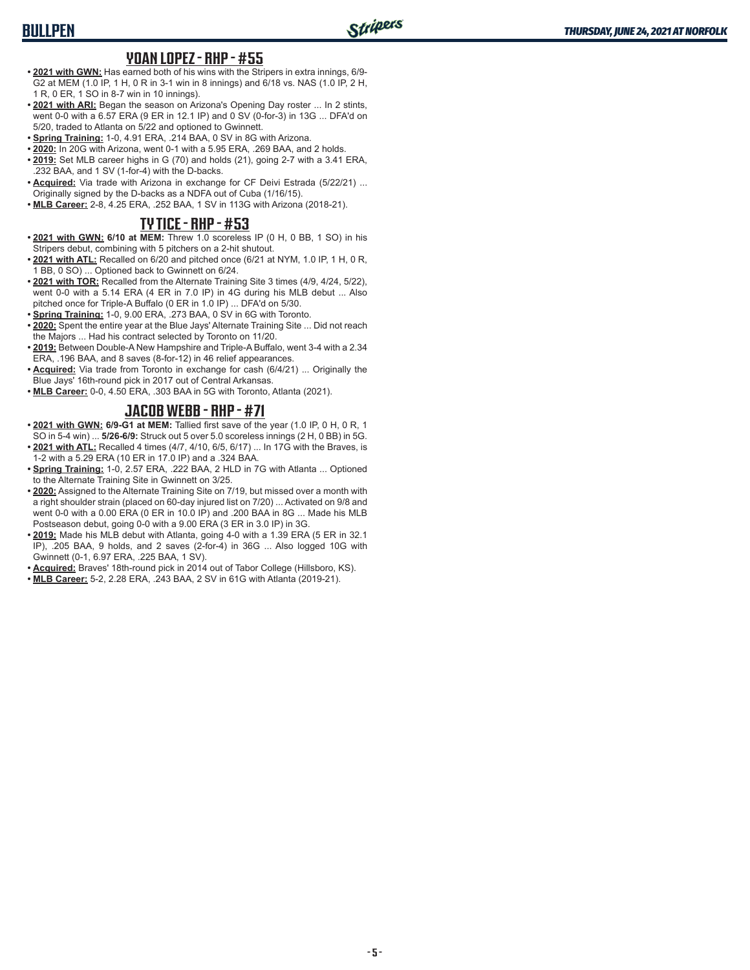# **BULLPEN**

#### **YOAN LOPEZ - RHP - #55**

- **• 2021 with GWN:** Has earned both of his wins with the Stripers in extra innings, 6/9- G2 at MEM (1.0 IP, 1 H, 0 R in 3-1 win in 8 innings) and 6/18 vs. NAS (1.0 IP, 2 H, 1 R, 0 ER, 1 SO in 8-7 win in 10 innings).
- **• 2021 with ARI:** Began the season on Arizona's Opening Day roster ... In 2 stints, went 0-0 with a 6.57 ERA (9 ER in 12.1 IP) and 0 SV (0-for-3) in 13G ... DFA'd on 5/20, traded to Atlanta on 5/22 and optioned to Gwinnett.
- **• Spring Training:** 1-0, 4.91 ERA, .214 BAA, 0 SV in 8G with Arizona.
- **• 2020:** In 20G with Arizona, went 0-1 with a 5.95 ERA, .269 BAA, and 2 holds. **• 2019:** Set MLB career highs in G (70) and holds (21), going 2-7 with a 3.41 ERA, .232 BAA, and 1 SV (1-for-4) with the D-backs.
- **• Acquired:** Via trade with Arizona in exchange for CF Deivi Estrada (5/22/21) ... Originally signed by the D-backs as a NDFA out of Cuba (1/16/15).
- **• MLB Career:** 2-8, 4.25 ERA, .252 BAA, 1 SV in 113G with Arizona (2018-21).

### **TY TICE - RHP - #53**

- **• 2021 with GWN: 6/10 at MEM:** Threw 1.0 scoreless IP (0 H, 0 BB, 1 SO) in his Stripers debut, combining with 5 pitchers on a 2-hit shutout.
- **• 2021 with ATL:** Recalled on 6/20 and pitched once (6/21 at NYM, 1.0 IP, 1 H, 0 R, 1 BB, 0 SO) ... Optioned back to Gwinnett on 6/24.
- **• 2021 with TOR:** Recalled from the Alternate Training Site 3 times (4/9, 4/24, 5/22), went 0-0 with a 5.14 ERA (4 ER in 7.0 IP) in 4G during his MLB debut ... Also pitched once for Triple-A Buffalo (0 ER in 1.0 IP) ... DFA'd on 5/30.
- **• Spring Training:** 1-0, 9.00 ERA, .273 BAA, 0 SV in 6G with Toronto.
- **• 2020:** Spent the entire year at the Blue Jays' Alternate Training Site ... Did not reach the Majors ... Had his contract selected by Toronto on 11/20.
- **• 2019:** Between Double-A New Hampshire and Triple-A Buffalo, went 3-4 with a 2.34 ERA, .196 BAA, and 8 saves (8-for-12) in 46 relief appearances.
- **• Acquired:** Via trade from Toronto in exchange for cash (6/4/21) ... Originally the Blue Jays' 16th-round pick in 2017 out of Central Arkansas.
- **• MLB Career:** 0-0, 4.50 ERA, .303 BAA in 5G with Toronto, Atlanta (2021).

### **JACOB WEBB - RHP - #71**

- **• 2021 with GWN: 6/9-G1 at MEM:** Tallied first save of the year (1.0 IP, 0 H, 0 R, 1 SO in 5-4 win) ... **5/26-6/9:** Struck out 5 over 5.0 scoreless innings (2 H, 0 BB) in 5G.
- **• 2021 with ATL:** Recalled 4 times (4/7, 4/10, 6/5, 6/17) ... In 17G with the Braves, is 1-2 with a 5.29 ERA (10 ER in 17.0 IP) and a .324 BAA.
- **• Spring Training:** 1-0, 2.57 ERA, .222 BAA, 2 HLD in 7G with Atlanta ... Optioned to the Alternate Training Site in Gwinnett on 3/25.
- **• 2020:** Assigned to the Alternate Training Site on 7/19, but missed over a month with a right shoulder strain (placed on 60-day injured list on 7/20) ... Activated on 9/8 and went 0-0 with a 0.00 ERA (0 ER in 10.0 IP) and .200 BAA in 8G ... Made his MLB Postseason debut, going 0-0 with a 9.00 ERA (3 ER in 3.0 IP) in 3G.
- **• 2019:** Made his MLB debut with Atlanta, going 4-0 with a 1.39 ERA (5 ER in 32.1 IP), .205 BAA, 9 holds, and 2 saves (2-for-4) in 36G ... Also logged 10G with Gwinnett (0-1, 6.97 ERA, .225 BAA, 1 SV).
- **• Acquired:** Braves' 18th-round pick in 2014 out of Tabor College (Hillsboro, KS).
- **• MLB Career:** 5-2, 2.28 ERA, .243 BAA, 2 SV in 61G with Atlanta (2019-21).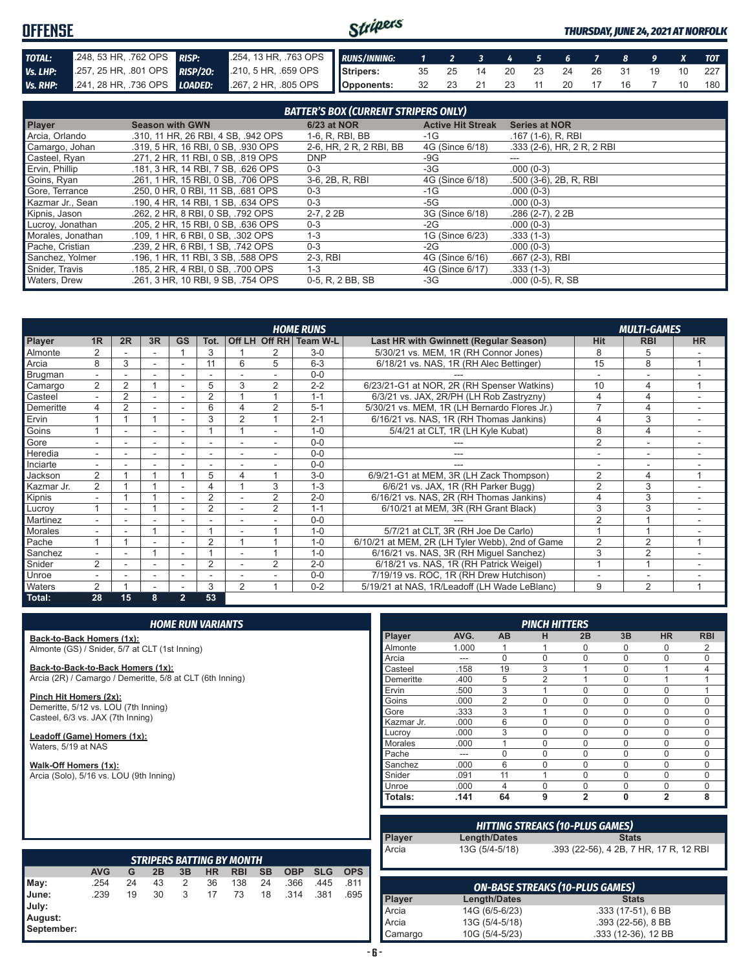#### Stripers **OFFENSE** *THURSDAY, JUNE 24, 2021 AT NORFOLK TOTAL:* .248, 53 HR, .762 OPS *RISP:* .254, 13 HR, .763 OPS *RUNS/INNING: 1 2 3 4 5 6 7 8 9 X TOT Vs. LHP:* .257, 25 HR, .801 OPS *RISP/2O:* .210, 5 HR, .659 OPS **Stripers:** 35 25 14 20 23 24 26 31 19 10 227 *Vs. RHP:* .241, 28 HR, .736 OPS *LOADED:* .267, 2 HR, .805 OPS **Opponents:** 32 23 21 23 11 20 17 16 7 10 180

|                   |                                     | <b>BATTER'S BOX (CURRENT STRIPERS ONLY)</b> |                          |                              |
|-------------------|-------------------------------------|---------------------------------------------|--------------------------|------------------------------|
| Player            | <b>Season with GWN</b>              | 6/23 at NOR                                 | <b>Active Hit Streak</b> | <b>Series at NOR</b>         |
| Arcia, Orlando    | .310, 11 HR, 26 RBI, 4 SB, .942 OPS | 1-6, R, RBI, BB                             | -1G                      | $.167(1-6)$ , R, RBI         |
| Camargo, Johan    | .319, 5 HR, 16 RBI, 0 SB, .930 OPS  | 2-6, HR, 2 R, 2 RBI, BB                     | 4G (Since 6/18)          | $.333$ (2-6), HR, 2 R, 2 RBI |
| Casteel, Ryan     | .271, 2 HR, 11 RBI, 0 SB, .819 OPS  | <b>DNP</b>                                  | -9G                      |                              |
| Ervin, Phillip    | .181, 3 HR, 14 RBI, 7 SB, .626 OPS  | $0 - 3$                                     | -3G                      | $.000(0-3)$                  |
| Goins, Ryan       | .261, 1 HR, 15 RBI, 0 SB, .706 OPS  | 3-6, 2B, R, RBI                             | 4G (Since 6/18)          | .500 (3-6), 2B, R, RBI       |
| Gore, Terrance    | .250, 0 HR, 0 RBI, 11 SB, .681 OPS  | $0 - 3$                                     | $-1G$                    | $.000(0-3)$                  |
| Kazmar Jr., Sean  | .190, 4 HR, 14 RBI, 1 SB, .634 OPS  | $0 - 3$                                     | -5G                      | $.000(0-3)$                  |
| Kipnis, Jason     | .262. 2 HR. 8 RBI. 0 SB. .792 OPS   | $2-7, 22B$                                  | 3G (Since 6/18)          | $.286(2-7), 22B$             |
| Lucroy, Jonathan  | .205. 2 HR. 15 RBI. 0 SB. .636 OPS  | $0 - 3$                                     | -2G                      | $.000(0-3)$                  |
| Morales, Jonathan | .109, 1 HR, 6 RBI, 0 SB, .302 OPS   | $1 - 3$                                     | 1G (Since 6/23)          | $.333(1-3)$                  |
| Pache, Cristian   | .239. 2 HR. 6 RBI. 1 SB. .742 OPS   | $0 - 3$                                     | -2G                      | $.000(0-3)$                  |
| Sanchez. Yolmer   | .196. 1 HR. 11 RBI. 3 SB. .588 OPS  | $2-3$ , RBI                                 | 4G (Since 6/16)          | .667 (2-3), RBI              |
| Snider, Travis    | .185. 2 HR. 4 RBI. 0 SB. .700 OPS   | $1 - 3$                                     | 4G (Since 6/17)          | $.333(1-3)$                  |
| Waters, Drew      | .261, 3 HR, 10 RBI, 9 SB, .754 OPS  | 0-5, R, 2 BB, SB                            | -3G                      | $.000(0-5)$ , R, SB          |

|                | <b>HOME RUNS</b><br><b>MULTI-GAMES</b><br>Off LH Off RH Team W-L |                |                          |                          |                          |                |                |         |                                                 |                |                          |           |  |
|----------------|------------------------------------------------------------------|----------------|--------------------------|--------------------------|--------------------------|----------------|----------------|---------|-------------------------------------------------|----------------|--------------------------|-----------|--|
| <b>Player</b>  | 1 <sub>R</sub>                                                   | 2R             | 3R                       | <b>GS</b>                | Tot.                     |                |                |         | <b>Last HR with Gwinnett (Regular Season)</b>   | <b>Hit</b>     | <b>RBI</b>               | <b>HR</b> |  |
| Almonte        |                                                                  |                |                          |                          | 3                        |                |                | $3-0$   | 5/30/21 vs. MEM, 1R (RH Connor Jones)           | 8              | b                        |           |  |
| Arcia          | 8                                                                | 3              |                          |                          | 11                       | 6              | 5              | $6 - 3$ | 6/18/21 vs. NAS, 1R (RH Alec Bettinger)         | 15             | 8                        |           |  |
| Brugman        |                                                                  |                |                          |                          |                          |                |                | $0 - 0$ |                                                 |                |                          |           |  |
| Camargo        | 2                                                                | $\overline{2}$ |                          |                          | 5                        | 3              | $\overline{2}$ | $2 - 2$ | 6/23/21-G1 at NOR, 2R (RH Spenser Watkins)      | 10             | 4                        |           |  |
| Casteel        | $\overline{a}$                                                   | $\overline{2}$ | ÷                        | $\sim$                   | $\overline{2}$           |                |                | $1 - 1$ | 6/3/21 vs. JAX, 2R/PH (LH Rob Zastryzny)        | 4              | 4                        |           |  |
| Demeritte      | 4                                                                | $\overline{2}$ |                          |                          | 6                        |                | 2              | $5 - 1$ | 5/30/21 vs. MEM, 1R (LH Bernardo Flores Jr.)    | 7              | 4                        |           |  |
| Ervin          |                                                                  |                |                          |                          | 3                        | $\mathcal{P}$  |                | $2 - 1$ | 6/16/21 vs. NAS, 1R (RH Thomas Jankins)         |                | 3                        |           |  |
| Goins          |                                                                  |                |                          |                          |                          |                |                | $1 - 0$ | 5/4/21 at CLT, 1R (LH Kyle Kubat)               | 8              | 4                        |           |  |
| <b>Gore</b>    |                                                                  |                | $\overline{\phantom{a}}$ |                          | $\overline{\phantom{a}}$ |                |                | $0 - 0$ |                                                 | $\overline{2}$ | $\overline{\phantom{a}}$ |           |  |
| <b>Heredia</b> |                                                                  |                |                          |                          | $\overline{\phantom{a}}$ |                |                | $0 - 0$ |                                                 |                |                          |           |  |
| Inciarte       | ٠.                                                               |                |                          |                          |                          |                |                | $0 - 0$ |                                                 |                |                          |           |  |
| Jackson        | $\overline{2}$                                                   |                |                          |                          | 5                        | 4              |                | $3-0$   | 6/9/21-G1 at MEM, 3R (LH Zack Thompson)         | $\overline{2}$ | 4                        |           |  |
| Kazmar Jr.     | $\overline{2}$                                                   |                |                          |                          | 4                        |                | 3              | $1 - 3$ | 6/6/21 vs. JAX, 1R (RH Parker Bugg)             | $\overline{2}$ | 3                        |           |  |
| Kipnis         | ٠                                                                |                |                          | $\overline{\phantom{a}}$ | $\overline{2}$           |                | $\overline{2}$ | $2 - 0$ | 6/16/21 vs. NAS, 2R (RH Thomas Jankins)         |                | 3                        | ۰         |  |
| Lucroy         |                                                                  |                |                          |                          | $\overline{2}$           |                | 2              | $1 - 1$ | 6/10/21 at MEM, 3R (RH Grant Black)             | 3              | 3                        |           |  |
| Martinez       |                                                                  |                |                          |                          |                          |                |                | $0 - 0$ |                                                 | $\overline{2}$ |                          |           |  |
| <b>Morales</b> |                                                                  |                |                          |                          |                          |                |                | $1 - 0$ | 5/7/21 at CLT, 3R (RH Joe De Carlo)             |                |                          |           |  |
| Pache          |                                                                  |                |                          |                          | $\overline{2}$           |                |                | $1 - 0$ | 6/10/21 at MEM, 2R (LH Tyler Webb), 2nd of Game | $\overline{2}$ | $\overline{2}$           |           |  |
| Sanchez        |                                                                  |                |                          |                          |                          |                |                | $1 - 0$ | 6/16/21 vs. NAS, 3R (RH Miguel Sanchez)         | 3              | $\overline{2}$           |           |  |
| Snider         | 2                                                                |                |                          |                          | 2                        |                | 2              | $2 - 0$ | 6/18/21 vs. NAS, 1R (RH Patrick Weigel)         |                |                          |           |  |
| Unroe          |                                                                  |                |                          |                          | $\overline{\phantom{a}}$ |                |                | $0 - 0$ | 7/19/19 vs. ROC, 1R (RH Drew Hutchison)         |                | ۰                        |           |  |
| <b>Waters</b>  | 2                                                                |                |                          |                          | 3                        | $\overline{2}$ |                | $0 - 2$ | 5/19/21 at NAS, 1R/Leadoff (LH Wade LeBlanc)    | 9              | $\overline{2}$           |           |  |
| Total:         | 28                                                               | 15             | 8                        | $\overline{2}$           | 53                       |                |                |         |                                                 |                |                          |           |  |

**Back-to-Back Homers (1x):** Almonte (GS) / Snider, 5/7 at CLT (1st Inning)

**Back-to-Back-to-Back Homers (1x):** Arcia (2R) / Camargo / Demeritte, 5/8 at CLT (6th Inning)

**Pinch Hit Homers (2x):** Demeritte, 5/12 vs. LOU (7th Inning) Casteel, 6/3 vs. JAX (7th Inning)

**Leadoff (Game) Homers (1x):** Waters, 5/19 at NAS

**Walk-Off Homers (1x):** Arcia (Solo), 5/16 vs. LOU (9th Inning)

|                |       |                | <b>PINCH HITTERS</b> |                |             |                |            |
|----------------|-------|----------------|----------------------|----------------|-------------|----------------|------------|
| Player         | AVG.  | <b>AB</b>      | н                    | 2B             | 3B          | <b>HR</b>      | <b>RBI</b> |
| Almonte        | 1.000 |                |                      | 0              | 0           | 0              | 2          |
| Arcia          |       | $\Omega$       | $\Omega$             | $\Omega$       | $\mathbf 0$ | $\Omega$       | $\Omega$   |
| Casteel        | .158  | 19             | 3                    |                | $\mathbf 0$ | 1              | 4          |
| Demeritte      | .400  | 5              | $\mathfrak{p}$       |                | $\Omega$    | 1              |            |
| Ervin          | .500  | 3              | 1                    | $\Omega$       | $\Omega$    | N              |            |
| Goins          | .000  | $\overline{2}$ | $\Omega$             | $\Omega$       | $\Omega$    | ი              | $\cap$     |
| Gore           | .333  | 3              | 1                    | U              | $\Omega$    | 0              | $\Omega$   |
| Kazmar Jr.     | .000  | 6              | $\Omega$             | $\Omega$       | $\Omega$    | O              | $\Omega$   |
| Lucrov         | .000  | 3              | $\Omega$             | $\Omega$       | $\Omega$    | $\Omega$       | $\Omega$   |
| <b>Morales</b> | .000  | 1              | $\Omega$             | $\Omega$       | $\Omega$    | $\Omega$       | $\Omega$   |
| Pache          | ---   | $\Omega$       | $\Omega$             | $\Omega$       | $\Omega$    | $\Omega$       | $\Omega$   |
| Sanchez        | .000  | 6              | 0                    | $\Omega$       | $\Omega$    | $\Omega$       | $\Omega$   |
| Snider         | .091  | 11             | 1                    | $\Omega$       | $\Omega$    | $\Omega$       | $\Omega$   |
| Unroe          | .000  | 4              | $\Omega$             | $\Omega$       | $\Omega$    | $\Omega$       | $\Omega$   |
| Totals:        | .141  | 64             | 9                    | $\overline{2}$ | 0           | $\overline{2}$ | 8          |

| <b>Player</b> | Length/Dates   | <b>HITTING STREAKS (10-PLUS GAMES)</b><br><b>Stats</b> |
|---------------|----------------|--------------------------------------------------------|
| Arcia         | 13G (5/4-5/18) | .393 (22-56), 4 2B, 7 HR, 17 R, 12 RBI                 |

|                                         |            |    |    |    |           | <b>STRIPERS BATTING BY MONTH</b> |           |            |            |            |
|-----------------------------------------|------------|----|----|----|-----------|----------------------------------|-----------|------------|------------|------------|
|                                         | <b>AVG</b> | G  | 2B | 3B | <b>HR</b> | <b>RBI</b>                       | <b>SB</b> | <b>OBP</b> | <b>SLG</b> | <b>OPS</b> |
| May:                                    | .254       | 24 | 43 | 2  | 36        | 138                              | 24        | .366       | .445       | .811       |
| June:<br>July:<br>August:<br>September: | .239       | 19 | 30 | 3  | 17        | 73                               | 18        | .314       | .381       | .695       |

|         |                | <b>ON-BASE STREAKS (10-PLUS GAMES)</b> |
|---------|----------------|----------------------------------------|
| Player  | Length/Dates   | <b>Stats</b>                           |
| Arcia   | 14G (6/5-6/23) | .333 (17-51), 6 BB                     |
| Arcia   | 13G (5/4-5/18) | $.393(22-56), 8BB$                     |
| Camargo | 10G (5/4-5/23) | .333 (12-36), 12 BB                    |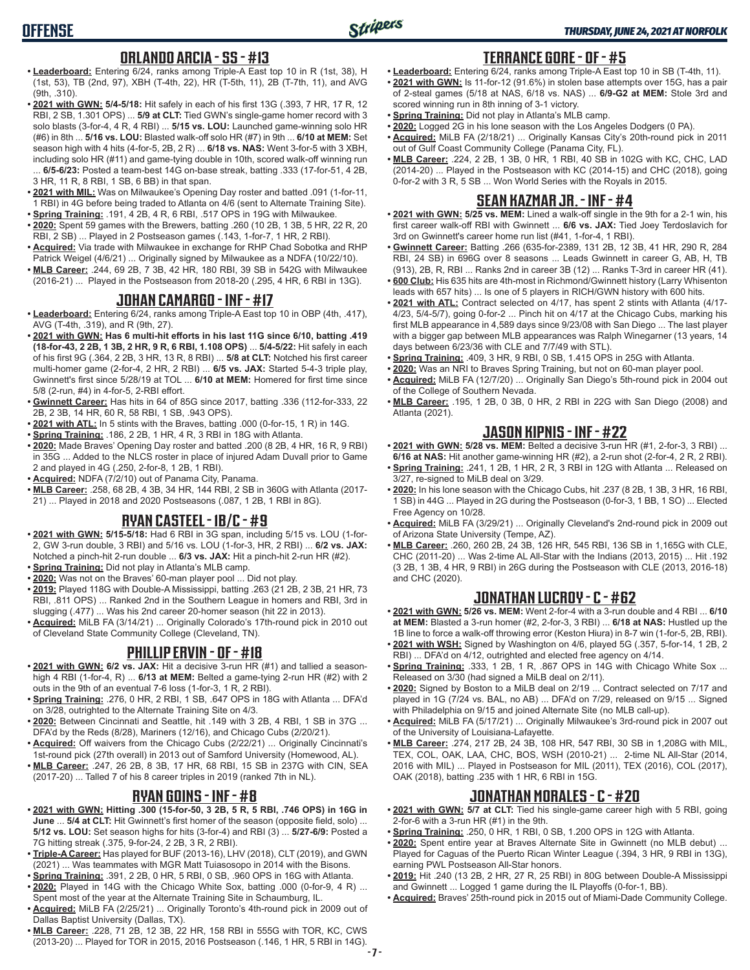## **ORLANDO ARCIA - SS - #13**

- **• Leaderboard:** Entering 6/24, ranks among Triple-A East top 10 in R (1st, 38), H (1st, 53), TB (2nd, 97), XBH (T-4th, 22), HR (T-5th, 11), 2B (T-7th, 11), and AVG (9th, .310).
- **• 2021 with GWN: 5/4-5/18:** Hit safely in each of his first 13G (.393, 7 HR, 17 R, 12 RBI, 2 SB, 1.301 OPS) ... **5/9 at CLT:** Tied GWN's single-game homer record with 3 solo blasts (3-for-4, 4 R, 4 RBI) ... **5/15 vs. LOU:** Launched game-winning solo HR (#6) in 8th ... **5/16 vs. LOU:** Blasted walk-off solo HR (#7) in 9th ... **6/10 at MEM:** Set season high with 4 hits (4-for-5, 2B, 2 R) ... **6/18 vs. NAS:** Went 3-for-5 with 3 XBH, including solo HR (#11) and game-tying double in 10th, scored walk-off winning run ... **6/5-6/23:** Posted a team-best 14G on-base streak, batting .333 (17-for-51, 4 2B, 3 HR, 11 R, 8 RBI, 1 SB, 6 BB) in that span.
- **• 2021 with MIL:** Was on Milwaukee's Opening Day roster and batted .091 (1-for-11, 1 RBI) in 4G before being traded to Atlanta on 4/6 (sent to Alternate Training Site).
- **• Spring Training:** .191, 4 2B, 4 R, 6 RBI, .517 OPS in 19G with Milwaukee. **• 2020:** Spent 59 games with the Brewers, batting .260 (10 2B, 1 3B, 5 HR, 22 R, 20 RBI, 2 SB) ... Played in 2 Postseason games (.143, 1-for-7, 1 HR, 2 RBI).
- **• Acquired:** Via trade with Milwaukee in exchange for RHP Chad Sobotka and RHP Patrick Weigel (4/6/21) ... Originally signed by Milwaukee as a NDFA (10/22/10).
- **• MLB Career:** .244, 69 2B, 7 3B, 42 HR, 180 RBI, 39 SB in 542G with Milwaukee (2016-21) ... Played in the Postseason from 2018-20 (.295, 4 HR, 6 RBI in 13G).

#### **JOHAN CAMARGO - INF - #17**

- **• Leaderboard:** Entering 6/24, ranks among Triple-A East top 10 in OBP (4th, .417), AVG (T-4th, .319), and R (9th, 27).
- **• 2021 with GWN: Has 6 multi-hit efforts in his last 11G since 6/10, batting .419 (18-for-43, 2 2B, 1 3B, 2 HR, 9 R, 6 RBI, 1.108 OPS)** ... **5/4-5/22:** Hit safely in each of his first 9G (.364, 2 2B, 3 HR, 13 R, 8 RBI) ... **5/8 at CLT:** Notched his first career multi-homer game (2-for-4, 2 HR, 2 RBI) ... **6/5 vs. JAX:** Started 5-4-3 triple play, Gwinnett's first since 5/28/19 at TOL ... **6/10 at MEM:** Homered for first time since 5/8 (2-run, #4) in 4-for-5, 2-RBI effort.
- **• Gwinnett Career:** Has hits in 64 of 85G since 2017, batting .336 (112-for-333, 22 2B, 2 3B, 14 HR, 60 R, 58 RBI, 1 SB, .943 OPS).
- **• 2021 with ATL:** In 5 stints with the Braves, batting .000 (0-for-15, 1 R) in 14G.
- **• Spring Training:** .186, 2 2B, 1 HR, 4 R, 3 RBI in 18G with Atlanta.
- **• 2020:** Made Braves' Opening Day roster and batted .200 (8 2B, 4 HR, 16 R, 9 RBI) in 35G ... Added to the NLCS roster in place of injured Adam Duvall prior to Game 2 and played in 4G (.250, 2-for-8, 1 2B, 1 RBI).
- **• Acquired:** NDFA (7/2/10) out of Panama City, Panama.
- **• MLB Career:** .258, 68 2B, 4 3B, 34 HR, 144 RBI, 2 SB in 360G with Atlanta (2017- 21) ... Played in 2018 and 2020 Postseasons (.087, 1 2B, 1 RBI in 8G).

### **RYAN CASTEEL - 1B/C - #9**

- **• 2021 with GWN: 5/15-5/18:** Had 6 RBI in 3G span, including 5/15 vs. LOU (1-for-2, GW 3-run double, 3 RBI) and 5/16 vs. LOU (1-for-3, HR, 2 RBI) ... **6/2 vs. JAX:** Notched a pinch-hit 2-run double ... **6/3 vs. JAX:** Hit a pinch-hit 2-run HR (#2).
- **• Spring Training:** Did not play in Atlanta's MLB camp.
- **• 2020:** Was not on the Braves' 60-man player pool ... Did not play.
- **• 2019:** Played 118G with Double-A Mississippi, batting .263 (21 2B, 2 3B, 21 HR, 73 RBI, .811 OPS) ... Ranked 2nd in the Southern League in homers and RBI, 3rd in slugging (.477) ... Was his 2nd career 20-homer season (hit 22 in 2013).
- **• Acquired:** MiLB FA (3/14/21) ... Originally Colorado's 17th-round pick in 2010 out of Cleveland State Community College (Cleveland, TN).

### **PHILLIP ERVIN - OF - #18**

- **• 2021 with GWN: 6/2 vs. JAX:** Hit a decisive 3-run HR (#1) and tallied a seasonhigh 4 RBI (1-for-4, R) ... **6/13 at MEM:** Belted a game-tying 2-run HR (#2) with 2 outs in the 9th of an eventual 7-6 loss (1-for-3, 1 R, 2 RBI).
- **• Spring Training:** .276, 0 HR, 2 RBI, 1 SB, .647 OPS in 18G with Atlanta ... DFA'd on 3/28, outrighted to the Alternate Training Site on 4/3.
- **• 2020:** Between Cincinnati and Seattle, hit .149 with 3 2B, 4 RBI, 1 SB in 37G ... DFA'd by the Reds (8/28), Mariners (12/16), and Chicago Cubs (2/20/21).
- **• Acquired:** Off waivers from the Chicago Cubs (2/22/21) ... Originally Cincinnati's 1st-round pick (27th overall) in 2013 out of Samford University (Homewood, AL).
- **• MLB Career:** .247, 26 2B, 8 3B, 17 HR, 68 RBI, 15 SB in 237G with CIN, SEA (2017-20) ... Talled 7 of his 8 career triples in 2019 (ranked 7th in NL).

# **RYAN GOINS - INF - #8**

- **• 2021 with GWN: Hitting .300 (15-for-50, 3 2B, 5 R, 5 RBI, .746 OPS) in 16G in June** ... **5/4 at CLT:** Hit Gwinnett's first homer of the season (opposite field, solo) ... **5/12 vs. LOU:** Set season highs for hits (3-for-4) and RBI (3) ... **5/27-6/9:** Posted a 7G hitting streak (.375, 9-for-24, 2 2B, 3 R, 2 RBI).
- **• Triple-A Career:** Has played for BUF (2013-16), LHV (2018), CLT (2019), and GWN (2021) ... Was teammates with MGR Matt Tuiasosopo in 2014 with the Bisons.
- **• Spring Training:** .391, 2 2B, 0 HR, 5 RBI, 0 SB, .960 OPS in 16G with Atlanta.
- **• 2020:** Played in 14G with the Chicago White Sox, batting .000 (0-for-9, 4 R) ... Spent most of the year at the Alternate Training Site in Schaumburg, IL.
- **• Acquired:** MiLB FA (2/25/21) ... Originally Toronto's 4th-round pick in 2009 out of Dallas Baptist University (Dallas, TX).
- **• MLB Career:** .228, 71 2B, 12 3B, 22 HR, 158 RBI in 555G with TOR, KC, CWS (2013-20) ... Played for TOR in 2015, 2016 Postseason (.146, 1 HR, 5 RBI in 14G).

### **TERRANCE GORE - OF - #5**

- **• Leaderboard:** Entering 6/24, ranks among Triple-A East top 10 in SB (T-4th, 11). **• 2021 with GWN:** Is 11-for-12 (91.6%) in stolen base attempts over 15G, has a pair of 2-steal games (5/18 at NAS, 6/18 vs. NAS) ... **6/9-G2 at MEM:** Stole 3rd and
- scored winning run in 8th inning of 3-1 victory. **• Spring Training:** Did not play in Atlanta's MLB camp.
- **• 2020:** Logged 2G in his lone season with the Los Angeles Dodgers (0 PA).
- **• Acquired:** MiLB FA (2/18/21) ... Originally Kansas City's 20th-round pick in 2011 out of Gulf Coast Community College (Panama City, FL).
- **• MLB Career:** .224, 2 2B, 1 3B, 0 HR, 1 RBI, 40 SB in 102G with KC, CHC, LAD (2014-20) ... Played in the Postseason with KC (2014-15) and CHC (2018), going 0-for-2 with 3 R, 5 SB ... Won World Series with the Royals in 2015.

## **SEAN KAZMAR JR. - INF - #4**

- **• 2021 with GWN: 5/25 vs. MEM:** Lined a walk-off single in the 9th for a 2-1 win, his first career walk-off RBI with Gwinnett ... **6/6 vs. JAX:** Tied Joey Terdoslavich for 3rd on Gwinnett's career home run list (#41, 1-for-4, 1 RBI).
- **• Gwinnett Career:** Batting .266 (635-for-2389, 131 2B, 12 3B, 41 HR, 290 R, 284 RBI, 24 SB) in 696G over 8 seasons ... Leads Gwinnett in career G, AB, H, TB (913), 2B, R, RBI ... Ranks 2nd in career 3B (12) ... Ranks T-3rd in career HR (41).
- **• 600 Club:** His 635 hits are 4th-most in Richmond/Gwinnett history (Larry Whisenton leads with 657 hits) ... Is one of 5 players in RICH/GWN history with 600 hits.
- **• 2021 with ATL:** Contract selected on 4/17, has spent 2 stints with Atlanta (4/17- 4/23, 5/4-5/7), going 0-for-2 ... Pinch hit on 4/17 at the Chicago Cubs, marking his first MLB appearance in 4,589 days since 9/23/08 with San Diego ... The last player with a bigger gap between MLB appearances was Ralph Winegarner (13 years, 14 days between 6/23/36 with CLE and 7/7/49 with STL).
- **• Spring Training:** .409, 3 HR, 9 RBI, 0 SB, 1.415 OPS in 25G with Atlanta.
- **• 2020:** Was an NRI to Braves Spring Training, but not on 60-man player pool.
- **• Acquired:** MiLB FA (12/7/20) ... Originally San Diego's 5th-round pick in 2004 out of the College of Southern Nevada.
- **• MLB Career:** .195, 1 2B, 0 3B, 0 HR, 2 RBI in 22G with San Diego (2008) and Atlanta (2021).

### **JASON KIPNIS - INF - #22**

- **• 2021 with GWN: 5/28 vs. MEM:** Belted a decisive 3-run HR (#1, 2-for-3, 3 RBI) ... **6/16 at NAS:** Hit another game-winning HR (#2), a 2-run shot (2-for-4, 2 R, 2 RBI).
- **• Spring Training:** .241, 1 2B, 1 HR, 2 R, 3 RBI in 12G with Atlanta ... Released on 3/27, re-signed to MiLB deal on 3/29.
- **• 2020:** In his lone season with the Chicago Cubs, hit .237 (8 2B, 1 3B, 3 HR, 16 RBI, 1 SB) in 44G ... Played in 2G during the Postseason (0-for-3, 1 BB, 1 SO) ... Elected Free Agency on 10/28.
- **• Acquired:** MiLB FA (3/29/21) ... Originally Cleveland's 2nd-round pick in 2009 out of Arizona State University (Tempe, AZ).
- **• MLB Career:** .260, 260 2B, 24 3B, 126 HR, 545 RBI, 136 SB in 1,165G with CLE, CHC (2011-20) ... Was 2-time AL All-Star with the Indians (2013, 2015) ... Hit .192 (3 2B, 1 3B, 4 HR, 9 RBI) in 26G during the Postseason with CLE (2013, 2016-18) and CHC (2020).

### **JONATHAN LUCROY - C - #62**

- **• 2021 with GWN: 5/26 vs. MEM:** Went 2-for-4 with a 3-run double and 4 RBI ... **6/10 at MEM:** Blasted a 3-run homer (#2, 2-for-3, 3 RBI) ... **6/18 at NAS:** Hustled up the 1B line to force a walk-off throwing error (Keston Hiura) in 8-7 win (1-for-5, 2B, RBI).
- **• 2021 with WSH:** Signed by Washington on 4/6, played 5G (.357, 5-for-14, 1 2B, 2 RBI) ... DFA'd on 4/12, outrighted and elected free agency on 4/14.
- **• Spring Training:** .333, 1 2B, 1 R, .867 OPS in 14G with Chicago White Sox ... Released on 3/30 (had signed a MiLB deal on 2/11).
- **• 2020:** Signed by Boston to a MiLB deal on 2/19 ... Contract selected on 7/17 and played in 1G (7/24 vs. BAL, no AB) ... DFA'd on 7/29, released on 9/15 ... Signed with Philadelphia on 9/15 and joined Alternate Site (no MLB call-up).
- **• Acquired:** MiLB FA (5/17/21) ... Originally Milwaukee's 3rd-round pick in 2007 out of the University of Louisiana-Lafayette.
- **• MLB Career:** .274, 217 2B, 24 3B, 108 HR, 547 RBI, 30 SB in 1,208G with MIL, TEX, COL, OAK, LAA, CHC, BOS, WSH (2010-21) ... 2-time NL All-Star (2014, 2016 with MIL) ... Played in Postseason for MIL (2011), TEX (2016), COL (2017), OAK (2018), batting .235 with 1 HR, 6 RBI in 15G.

#### **JONATHAN MORALES - C - #20**

- **• 2021 with GWN: 5/7 at CLT:** Tied his single-game career high with 5 RBI, going 2-for-6 with a 3-run HR (#1) in the 9th.
- **• Spring Training:** .250, 0 HR, 1 RBI, 0 SB, 1.200 OPS in 12G with Atlanta.
- **• 2020:** Spent entire year at Braves Alternate Site in Gwinnett (no MLB debut) ... Played for Caguas of the Puerto Rican Winter League (.394, 3 HR, 9 RBI in 13G), earning PWL Postseason All-Star honors.
- **• 2019:** Hit .240 (13 2B, 2 HR, 27 R, 25 RBI) in 80G between Double-A Mississippi and Gwinnett ... Logged 1 game during the IL Playoffs (0-for-1, BB).
- **• Acquired:** Braves' 25th-round pick in 2015 out of Miami-Dade Community College.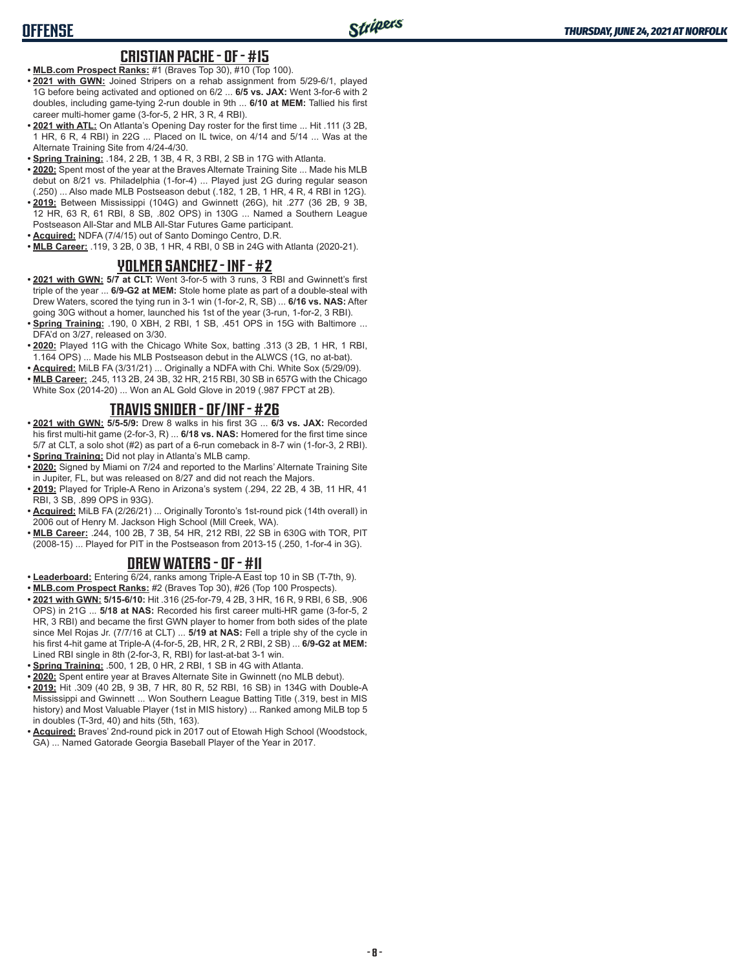# **OFFENSE**

#### **CRISTIAN PACHE - OF - #15**

- **• MLB.com Prospect Ranks:** #1 (Braves Top 30), #10 (Top 100).
- **• 2021 with GWN:** Joined Stripers on a rehab assignment from 5/29-6/1, played 1G before being activated and optioned on 6/2 ... **6/5 vs. JAX:** Went 3-for-6 with 2 doubles, including game-tying 2-run double in 9th ... **6/10 at MEM:** Tallied his first career multi-homer game (3-for-5, 2 HR, 3 R, 4 RBI).
- **• 2021 with ATL:** On Atlanta's Opening Day roster for the first time ... Hit .111 (3 2B, 1 HR, 6 R, 4 RBI) in 22G ... Placed on IL twice, on 4/14 and 5/14 ... Was at the Alternate Training Site from 4/24-4/30.
- **• Spring Training:** .184, 2 2B, 1 3B, 4 R, 3 RBI, 2 SB in 17G with Atlanta.
- **• 2020:** Spent most of the year at the Braves Alternate Training Site ... Made his MLB debut on 8/21 vs. Philadelphia (1-for-4) ... Played just 2G during regular season (.250) ... Also made MLB Postseason debut (.182, 1 2B, 1 HR, 4 R, 4 RBI in 12G).
- **• 2019:** Between Mississippi (104G) and Gwinnett (26G), hit .277 (36 2B, 9 3B, 12 HR, 63 R, 61 RBI, 8 SB, .802 OPS) in 130G ... Named a Southern League Postseason All-Star and MLB All-Star Futures Game participant.
- **• Acquired:** NDFA (7/4/15) out of Santo Domingo Centro, D.R.
- **• MLB Career:** .119, 3 2B, 0 3B, 1 HR, 4 RBI, 0 SB in 24G with Atlanta (2020-21).

#### **YOLMER SANCHEZ - INF - #2**

- **• 2021 with GWN: 5/7 at CLT:** Went 3-for-5 with 3 runs, 3 RBI and Gwinnett's first triple of the year ... **6/9-G2 at MEM:** Stole home plate as part of a double-steal with Drew Waters, scored the tying run in 3-1 win (1-for-2, R, SB) ... **6/16 vs. NAS:** After going 30G without a homer, launched his 1st of the year (3-run, 1-for-2, 3 RBI).
- **• Spring Training:** .190, 0 XBH, 2 RBI, 1 SB, .451 OPS in 15G with Baltimore ... DFA'd on 3/27, released on 3/30.
- **• 2020:** Played 11G with the Chicago White Sox, batting .313 (3 2B, 1 HR, 1 RBI, 1.164 OPS) ... Made his MLB Postseason debut in the ALWCS (1G, no at-bat).
- **• Acquired:** MiLB FA (3/31/21) ... Originally a NDFA with Chi. White Sox (5/29/09).
- **• MLB Career:** .245, 113 2B, 24 3B, 32 HR, 215 RBI, 30 SB in 657G with the Chicago White Sox (2014-20) ... Won an AL Gold Glove in 2019 (.987 FPCT at 2B).

## **TRAVIS SNIDER - OF/INF - #26**

- **• 2021 with GWN: 5/5-5/9:** Drew 8 walks in his first 3G ... **6/3 vs. JAX:** Recorded his first multi-hit game (2-for-3, R) ... **6/18 vs. NAS:** Homered for the first time since 5/7 at CLT, a solo shot (#2) as part of a 6-run comeback in 8-7 win (1-for-3, 2 RBI). **• Spring Training:** Did not play in Atlanta's MLB camp.
- **• 2020:** Signed by Miami on 7/24 and reported to the Marlins' Alternate Training Site in Jupiter, FL, but was released on 8/27 and did not reach the Majors.
- **• 2019:** Played for Triple-A Reno in Arizona's system (.294, 22 2B, 4 3B, 11 HR, 41 RBI, 3 SB, .899 OPS in 93G).
- **• Acquired:** MiLB FA (2/26/21) ... Originally Toronto's 1st-round pick (14th overall) in 2006 out of Henry M. Jackson High School (Mill Creek, WA).
- **• MLB Career:** .244, 100 2B, 7 3B, 54 HR, 212 RBI, 22 SB in 630G with TOR, PIT (2008-15) ... Played for PIT in the Postseason from 2013-15 (.250, 1-for-4 in 3G).

#### **DREW WATERS - OF - #11**

- **• Leaderboard:** Entering 6/24, ranks among Triple-A East top 10 in SB (T-7th, 9).
- **• MLB.com Prospect Ranks:** #2 (Braves Top 30), #26 (Top 100 Prospects).
- **• 2021 with GWN: 5/15-6/10:** Hit .316 (25-for-79, 4 2B, 3 HR, 16 R, 9 RBI, 6 SB, .906 OPS) in 21G ... **5/18 at NAS:** Recorded his first career multi-HR game (3-for-5, 2 HR, 3 RBI) and became the first GWN player to homer from both sides of the plate since Mel Rojas Jr. (7/7/16 at CLT) ... **5/19 at NAS:** Fell a triple shy of the cycle in his first 4-hit game at Triple-A (4-for-5, 2B, HR, 2 R, 2 RBI, 2 SB) ... **6/9-G2 at MEM:** Lined RBI single in 8th (2-for-3, R, RBI) for last-at-bat 3-1 win.
- **• Spring Training:** .500, 1 2B, 0 HR, 2 RBI, 1 SB in 4G with Atlanta.
- **• 2020:** Spent entire year at Braves Alternate Site in Gwinnett (no MLB debut).
- **• 2019:** Hit .309 (40 2B, 9 3B, 7 HR, 80 R, 52 RBI, 16 SB) in 134G with Double-A Mississippi and Gwinnett ... Won Southern League Batting Title (.319, best in MIS history) and Most Valuable Player (1st in MIS history) ... Ranked among MiLB top 5 in doubles (T-3rd, 40) and hits (5th, 163).
- **• Acquired:** Braves' 2nd-round pick in 2017 out of Etowah High School (Woodstock, GA) ... Named Gatorade Georgia Baseball Player of the Year in 2017.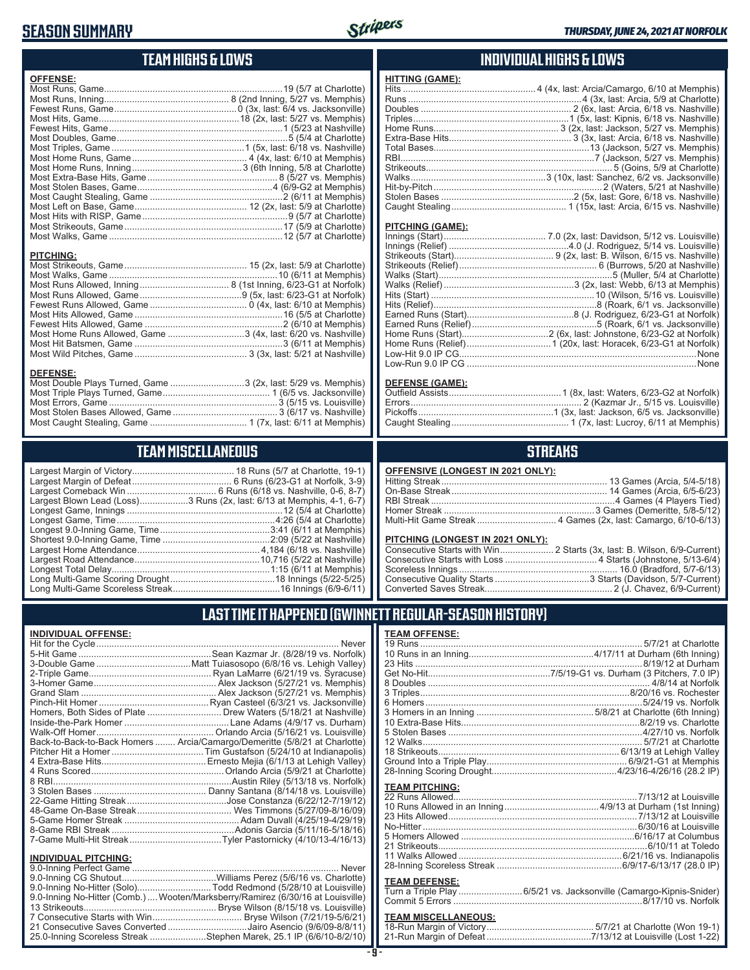# **SEASON SUMMARY**



# **TEAM HIGHS & LOWS**

| <b>OFFENSE:</b>                                               |  |
|---------------------------------------------------------------|--|
|                                                               |  |
|                                                               |  |
|                                                               |  |
|                                                               |  |
| <b>PITCHING:</b>                                              |  |
|                                                               |  |
|                                                               |  |
|                                                               |  |
|                                                               |  |
|                                                               |  |
|                                                               |  |
| Most Home Runs Allowed, Game 3 (4x, last: 6/20 vs. Nashville) |  |
|                                                               |  |

#### **DEFENSE:**

| Most Double Plays Turned, Game 3 (2x, last: 5/29 vs. Memphis) |  |
|---------------------------------------------------------------|--|
|                                                               |  |
|                                                               |  |
|                                                               |  |
|                                                               |  |
|                                                               |  |

Most Wild Pitches, Game ............................................ 3 (3x, last: 5/21 at Nashville)

# **TEAM MISCELLANEOUS**

| Largest Blown Lead (Loss)3 Runs (2x, last: 6/13 at Memphis, 4-1, 6-7) |
|-----------------------------------------------------------------------|
|                                                                       |
|                                                                       |
|                                                                       |
|                                                                       |
|                                                                       |
|                                                                       |
|                                                                       |
|                                                                       |
|                                                                       |

### **INDIVIDUAL HIGHS & LOWS**

| <b>HITTING (GAME):</b> |  |
|------------------------|--|
|                        |  |
|                        |  |
|                        |  |
|                        |  |
|                        |  |
|                        |  |
|                        |  |
|                        |  |
|                        |  |
|                        |  |
|                        |  |
|                        |  |
|                        |  |
|                        |  |

#### **PITCHING (GAME):**

| . None |
|--------|
|        |
|        |

#### **DEFENSE (GAME):**

# **STREAKS**

| OFFENSIVE (LONGEST IN 2021 ONLY): |
|-----------------------------------|
|-----------------------------------|

#### **PITCHING (LONGEST IN 2021 ONLY):**

# **LAST TIME IT HAPPENED (GWINNETT REGULAR-SEASON HISTORY)**

#### **INDIVIDUAL OFFENSE:**

|                             | Hit for the Cycle……………………………………………………………………<br><b>Never</b>                |
|-----------------------------|----------------------------------------------------------------------------|
|                             |                                                                            |
|                             |                                                                            |
|                             |                                                                            |
|                             |                                                                            |
|                             |                                                                            |
|                             |                                                                            |
|                             | Homers, Both Sides of Plate Drew Waters (5/18/21 at Nashville)             |
|                             |                                                                            |
|                             |                                                                            |
|                             | Back-to-Back-to-Back Homers  Arcia/Camargo/Demeritte (5/8/21 at Charlotte) |
|                             |                                                                            |
|                             |                                                                            |
|                             |                                                                            |
|                             |                                                                            |
|                             |                                                                            |
|                             |                                                                            |
|                             |                                                                            |
|                             |                                                                            |
|                             |                                                                            |
|                             |                                                                            |
| <b>INDIVIDUAL PITCHING:</b> |                                                                            |
| 9 0-Inning Perfect Game     | Never                                                                      |

| 9.0-Inning No-Hitter (Solo)Todd Redmond (5/28/10 at Louisville)                |  |
|--------------------------------------------------------------------------------|--|
| 9.0-Inning No-Hitter (Comb.) Wooten/Marksberry/Ramirez (6/30/16 at Louisville) |  |
|                                                                                |  |
|                                                                                |  |
| 21 Consecutive Saves Converted Jairo Asencio (9/6/09-8/8/11)                   |  |
| 25.0-Inning Scoreless Streak Stephen Marek, 25.1 IP (6/6/10-8/2/10)            |  |

#### **TEAM OFFENSE:**

| <b>TEAM PITCHING:</b> |  |
|-----------------------|--|
|                       |  |
|                       |  |
|                       |  |
|                       |  |
|                       |  |
|                       |  |
|                       |  |
|                       |  |
| <b>TEAM DEFENSE:</b>  |  |

#### TENSE:

|  | Turn a Triple Play 6/5/21 vs. Jacksonville (Camargo-Kipnis-Snider) |
|--|--------------------------------------------------------------------|
|  |                                                                    |

# **TEAM MISCELLANEOUS:**<br>18-Run Margin of Victory....